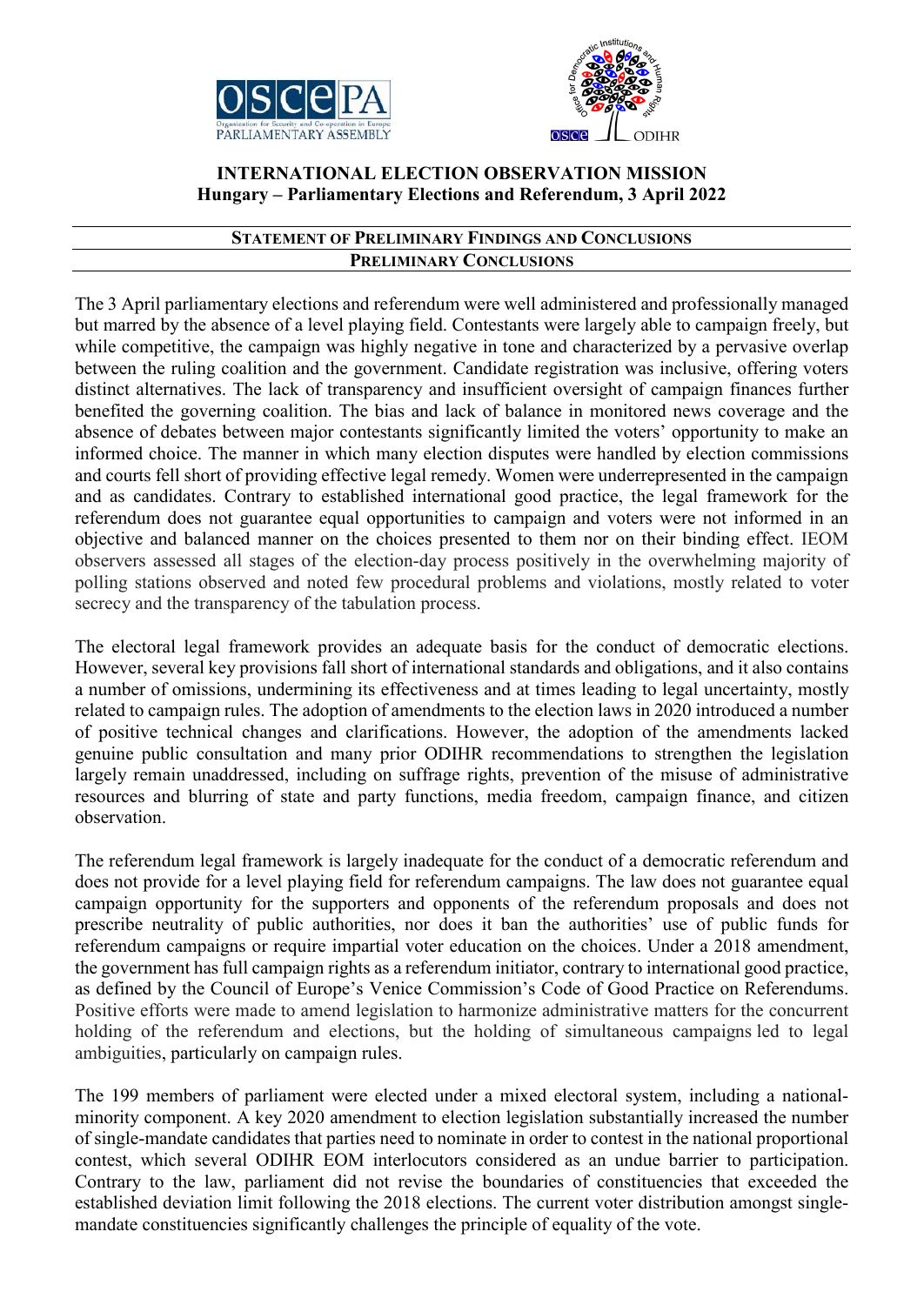



## **INTERNATIONAL ELECTION OBSERVATION MISSION Hungary – Parliamentary Elections and Referendum, 3 April 2022**

## **STATEMENT OF PRELIMINARY FINDINGS AND CONCLUSIONS PRELIMINARY CONCLUSIONS**

The 3 April parliamentary elections and referendum were well administered and professionally managed but marred by the absence of a level playing field. Contestants were largely able to campaign freely, but while competitive, the campaign was highly negative in tone and characterized by a pervasive overlap between the ruling coalition and the government. Candidate registration was inclusive, offering voters distinct alternatives. The lack of transparency and insufficient oversight of campaign finances further benefited the governing coalition. The bias and lack of balance in monitored news coverage and the absence of debates between major contestants significantly limited the voters' opportunity to make an informed choice. The manner in which many election disputes were handled by election commissions and courts fell short of providing effective legal remedy. Women were underrepresented in the campaign and as candidates. Contrary to established international good practice, the legal framework for the referendum does not guarantee equal opportunities to campaign and voters were not informed in an objective and balanced manner on the choices presented to them nor on their binding effect. IEOM observers assessed all stages of the election-day process positively in the overwhelming majority of polling stations observed and noted few procedural problems and violations, mostly related to voter secrecy and the transparency of the tabulation process.

The electoral legal framework provides an adequate basis for the conduct of democratic elections. However, several key provisions fall short of international standards and obligations, and it also contains a number of omissions, undermining its effectiveness and at times leading to legal uncertainty, mostly related to campaign rules. The adoption of amendments to the election laws in 2020 introduced a number of positive technical changes and clarifications. However, the adoption of the amendments lacked genuine public consultation and many prior ODIHR recommendations to strengthen the legislation largely remain unaddressed, including on suffrage rights, prevention of the misuse of administrative resources and blurring of state and party functions, media freedom, campaign finance, and citizen observation.

The referendum legal framework is largely inadequate for the conduct of a democratic referendum and does not provide for a level playing field for referendum campaigns. The law does not guarantee equal campaign opportunity for the supporters and opponents of the referendum proposals and does not prescribe neutrality of public authorities, nor does it ban the authorities' use of public funds for referendum campaigns or require impartial voter education on the choices. Under a 2018 amendment, the government has full campaign rights as a referendum initiator, contrary to international good practice, as defined by the Council of Europe's Venice Commission's Code of Good Practice on Referendums. Positive efforts were made to amend legislation to harmonize administrative matters for the concurrent holding of the referendum and elections, but the holding of simultaneous campaigns led to legal ambiguities, particularly on campaign rules.

The 199 members of parliament were elected under a mixed electoral system, including a nationalminority component. A key 2020 amendment to election legislation substantially increased the number of single-mandate candidates that parties need to nominate in order to contest in the national proportional contest, which several ODIHR EOM interlocutors considered as an undue barrier to participation. Contrary to the law, parliament did not revise the boundaries of constituencies that exceeded the established deviation limit following the 2018 elections. The current voter distribution amongst singlemandate constituencies significantly challenges the principle of equality of the vote.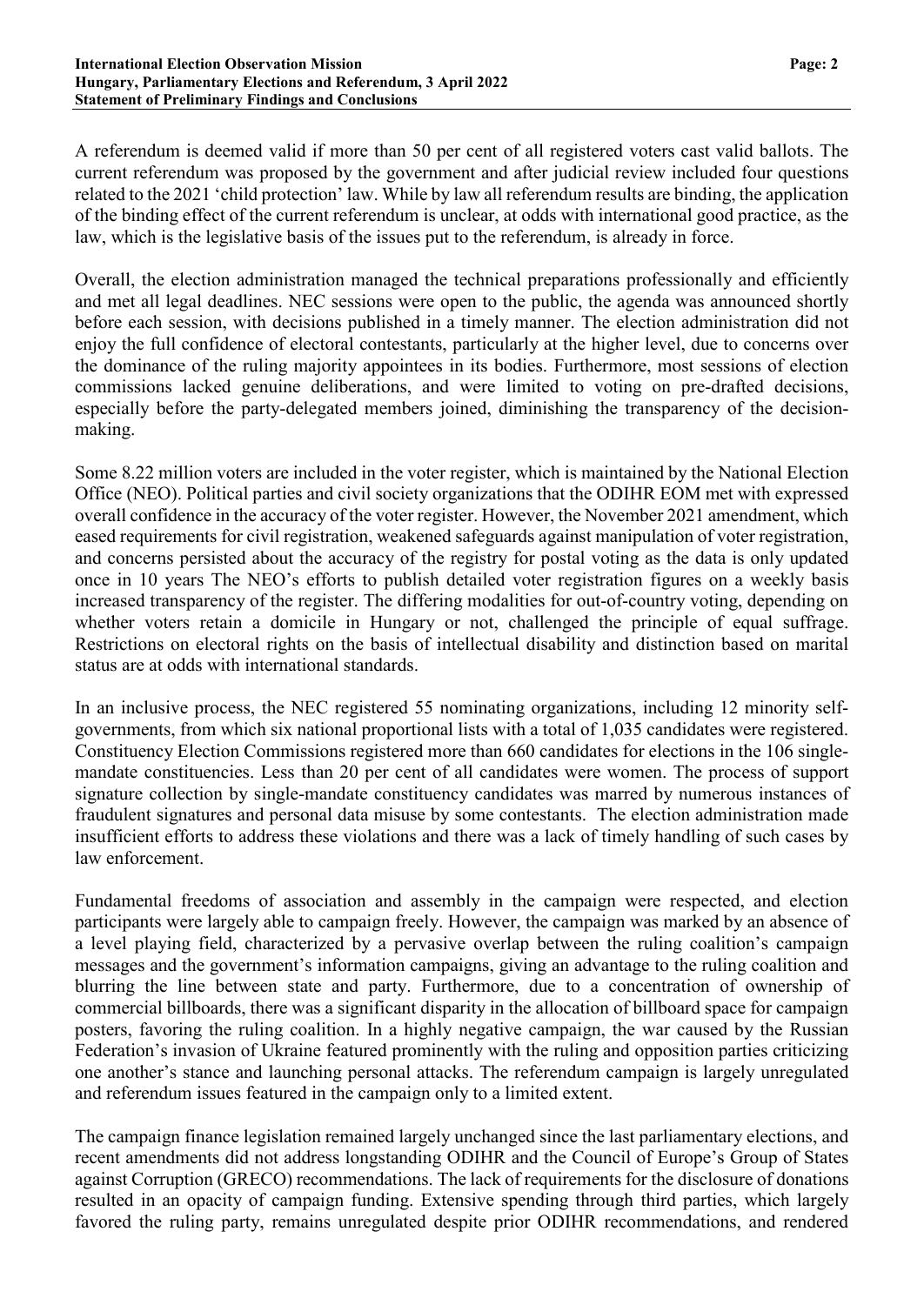A referendum is deemed valid if more than 50 per cent of all registered voters cast valid ballots. The current referendum was proposed by the government and after judicial review included four questions related to the 2021 'child protection' law. While by law all referendum results are binding, the application of the binding effect of the current referendum is unclear, at odds with international good practice, as the law, which is the legislative basis of the issues put to the referendum, is already in force.

Overall, the election administration managed the technical preparations professionally and efficiently and met all legal deadlines. NEC sessions were open to the public, the agenda was announced shortly before each session, with decisions published in a timely manner. The election administration did not enjoy the full confidence of electoral contestants, particularly at the higher level, due to concerns over the dominance of the ruling majority appointees in its bodies. Furthermore, most sessions of election commissions lacked genuine deliberations, and were limited to voting on pre-drafted decisions, especially before the party-delegated members joined, diminishing the transparency of the decisionmaking.

Some 8.22 million voters are included in the voter register, which is maintained by the National Election Office (NEO). Political parties and civil society organizations that the ODIHR EOM met with expressed overall confidence in the accuracy of the voter register. However, the November 2021 amendment, which eased requirements for civil registration, weakened safeguards against manipulation of voter registration, and concerns persisted about the accuracy of the registry for postal voting as the data is only updated once in 10 years The NEO's efforts to publish detailed voter registration figures on a weekly basis increased transparency of the register. The differing modalities for out-of-country voting, depending on whether voters retain a domicile in Hungary or not, challenged the principle of equal suffrage. Restrictions on electoral rights on the basis of intellectual disability and distinction based on marital status are at odds with international standards.

In an inclusive process, the NEC registered 55 nominating organizations, including 12 minority selfgovernments, from which six national proportional lists with a total of 1,035 candidates were registered. Constituency Election Commissions registered more than 660 candidates for elections in the 106 singlemandate constituencies. Less than 20 per cent of all candidates were women. The process of support signature collection by single-mandate constituency candidates was marred by numerous instances of fraudulent signatures and personal data misuse by some contestants. The election administration made insufficient efforts to address these violations and there was a lack of timely handling of such cases by law enforcement.

Fundamental freedoms of association and assembly in the campaign were respected, and election participants were largely able to campaign freely. However, the campaign was marked by an absence of a level playing field, characterized by a pervasive overlap between the ruling coalition's campaign messages and the government's information campaigns, giving an advantage to the ruling coalition and blurring the line between state and party. Furthermore, due to a concentration of ownership of commercial billboards, there was a significant disparity in the allocation of billboard space for campaign posters, favoring the ruling coalition. In a highly negative campaign, the war caused by the Russian Federation's invasion of Ukraine featured prominently with the ruling and opposition parties criticizing one another's stance and launching personal attacks. The referendum campaign is largely unregulated and referendum issues featured in the campaign only to a limited extent.

The campaign finance legislation remained largely unchanged since the last parliamentary elections, and recent amendments did not address longstanding ODIHR and the Council of Europe's Group of States against Corruption (GRECO) recommendations. The lack of requirements for the disclosure of donations resulted in an opacity of campaign funding. Extensive spending through third parties, which largely favored the ruling party, remains unregulated despite prior ODIHR recommendations, and rendered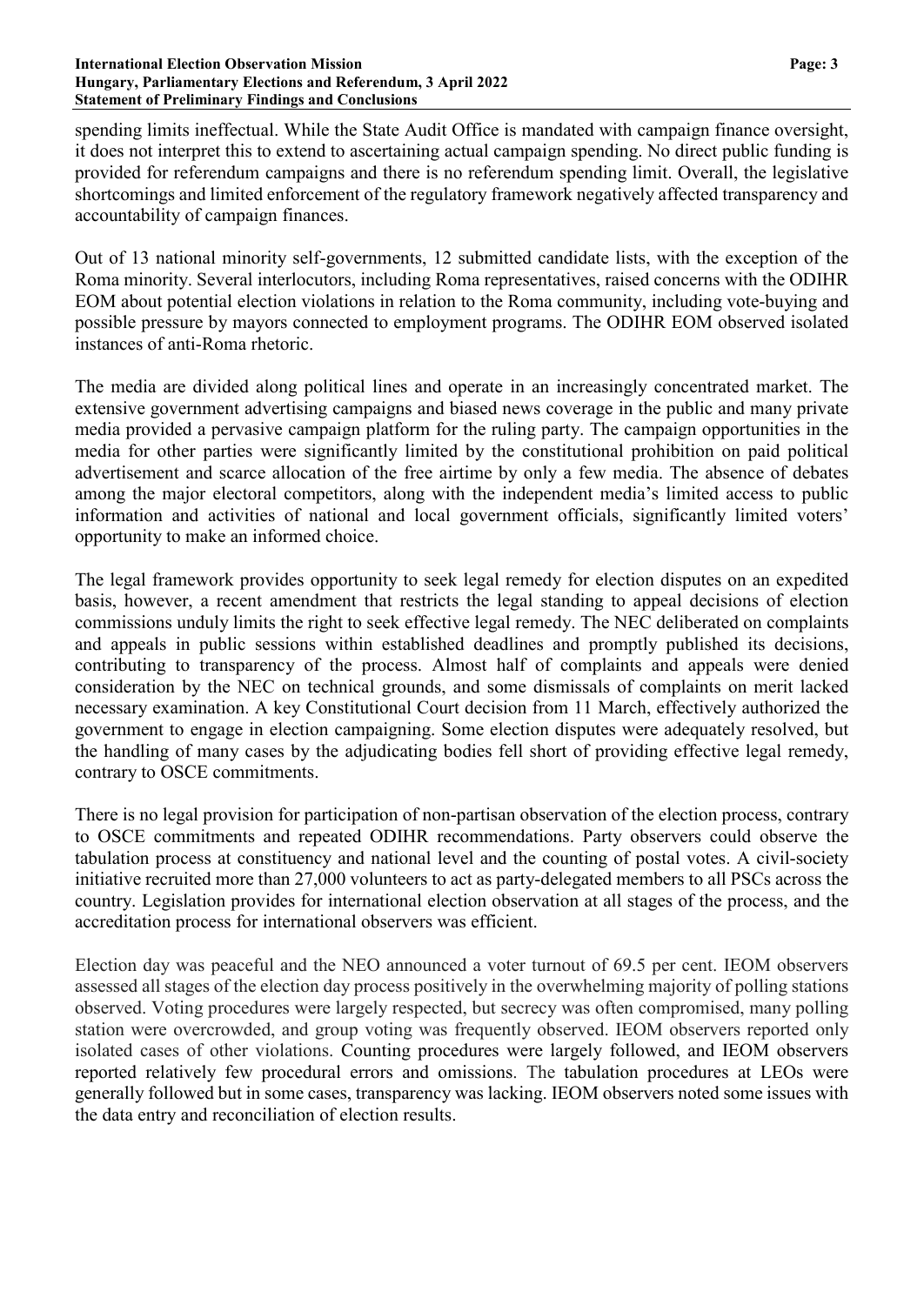#### **International Election Observation Mission Page: 3 Hungary, Parliamentary Elections and Referendum, 3 April 2022 Statement of Preliminary Findings and Conclusions**

spending limits ineffectual. While the State Audit Office is mandated with campaign finance oversight, it does not interpret this to extend to ascertaining actual campaign spending. No direct public funding is provided for referendum campaigns and there is no referendum spending limit. Overall, the legislative shortcomings and limited enforcement of the regulatory framework negatively affected transparency and accountability of campaign finances.

Out of 13 national minority self-governments, 12 submitted candidate lists, with the exception of the Roma minority. Several interlocutors, including Roma representatives, raised concerns with the ODIHR EOM about potential election violations in relation to the Roma community, including vote-buying and possible pressure by mayors connected to employment programs. The ODIHR EOM observed isolated instances of anti-Roma rhetoric.

The media are divided along political lines and operate in an increasingly concentrated market. The extensive government advertising campaigns and biased news coverage in the public and many private media provided a pervasive campaign platform for the ruling party. The campaign opportunities in the media for other parties were significantly limited by the constitutional prohibition on paid political advertisement and scarce allocation of the free airtime by only a few media. The absence of debates among the major electoral competitors, along with the independent media's limited access to public information and activities of national and local government officials, significantly limited voters' opportunity to make an informed choice.

The legal framework provides opportunity to seek legal remedy for election disputes on an expedited basis, however, a recent amendment that restricts the legal standing to appeal decisions of election commissions unduly limits the right to seek effective legal remedy. The NEC deliberated on complaints and appeals in public sessions within established deadlines and promptly published its decisions, contributing to transparency of the process. Almost half of complaints and appeals were denied consideration by the NEC on technical grounds, and some dismissals of complaints on merit lacked necessary examination. A key Constitutional Court decision from 11 March, effectively authorized the government to engage in election campaigning. Some election disputes were adequately resolved, but the handling of many cases by the adjudicating bodies fell short of providing effective legal remedy, contrary to OSCE commitments.

There is no legal provision for participation of non-partisan observation of the election process, contrary to OSCE commitments and repeated ODIHR recommendations. Party observers could observe the tabulation process at constituency and national level and the counting of postal votes. A civil-society initiative recruited more than 27,000 volunteers to act as party-delegated members to all PSCs across the country. Legislation provides for international election observation at all stages of the process, and the accreditation process for international observers was efficient.

Election day was peaceful and the NEO announced a voter turnout of 69.5 per cent. IEOM observers assessed all stages of the election day process positively in the overwhelming majority of polling stations observed. Voting procedures were largely respected, but secrecy was often compromised, many polling station were overcrowded, and group voting was frequently observed. IEOM observers reported only isolated cases of other violations. Counting procedures were largely followed, and IEOM observers reported relatively few procedural errors and omissions. The tabulation procedures at LEOs were generally followed but in some cases, transparency was lacking. IEOM observers noted some issues with the data entry and reconciliation of election results.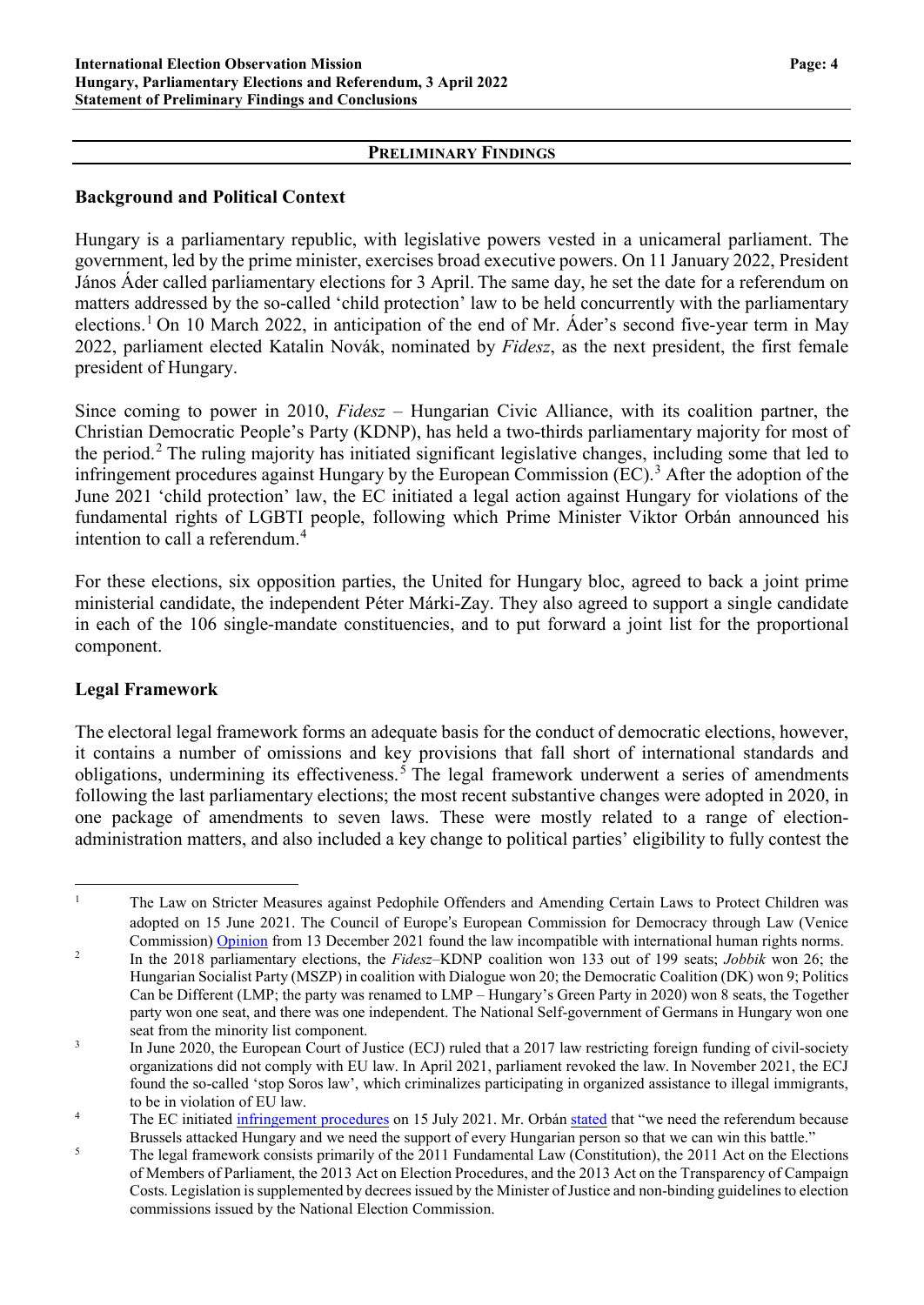### **PRELIMINARY FINDINGS**

### **Background and Political Context**

Hungary is a parliamentary republic, with legislative powers vested in a unicameral parliament. The government, led by the prime minister, exercises broad executive powers. On 11 January 2022, President János Áder called parliamentary elections for 3 April. The same day, he set the date for a referendum on matters addressed by the so-called 'child protection' law to be held concurrently with the parliamentary elections.[1](#page-3-0) On 10 March 2022, in anticipation of the end of Mr. Áder's second five-year term in May 2022, parliament elected Katalin Novák, nominated by *Fidesz*, as the next president, the first female president of Hungary.

Since coming to power in 2010, *Fidesz* – Hungarian Civic Alliance, with its coalition partner, the Christian Democratic People's Party (KDNP), has held a two-thirds parliamentary majority for most of the period.<sup>[2](#page-3-1)</sup> The ruling majority has initiated significant legislative changes, including some that led to infringement procedures against Hungary by the European Commission (EC).<sup>[3](#page-3-2)</sup> After the adoption of the June 2021 'child protection' law, the EC initiated a legal action against Hungary for violations of the fundamental rights of LGBTI people, following which Prime Minister Viktor Orbán announced his intention to call a referendum.<sup>4</sup>

For these elections, six opposition parties, the United for Hungary bloc, agreed to back a joint prime ministerial candidate, the independent Péter Márki-Zay. They also agreed to support a single candidate in each of the 106 single-mandate constituencies, and to put forward a joint list for the proportional component.

### **Legal Framework**

The electoral legal framework forms an adequate basis for the conduct of democratic elections, however, it contains a number of omissions and key provisions that fall short of international standards and obligations, undermining its effectiveness.<sup>[5](#page-3-3)</sup> The legal framework underwent a series of amendments following the last parliamentary elections; the most recent substantive changes were adopted in 2020, in one package of amendments to seven laws. These were mostly related to a range of electionadministration matters, and also included a key change to political parties' eligibility to fully contest the

<span id="page-3-0"></span><sup>&</sup>lt;sup>1</sup> The Law on Stricter Measures against Pedophile Offenders and Amending Certain Laws to Protect Children was adopted on 15 June 2021. The Council of Europe's European Commission for Democracy through Law (Venice Commission) [Opinion](https://www.venice.coe.int/webforms/documents/default.aspx?pdffile=CDL-AD(2021)050-e) from 13 December 2021 found the law incompatible with international human rights norms.

<span id="page-3-1"></span><sup>2</sup> In the 2018 parliamentary elections, the *Fidesz*–KDNP coalition won 133 out of 199 seats; *Jobbik* won 26; the Hungarian Socialist Party (MSZP) in coalition with Dialogue won 20; the Democratic Coalition (DK) won 9; Politics Can be Different (LMP; the party was renamed to LMP – Hungary's Green Party in 2020) won 8 seats, the Together party won one seat, and there was one independent. The National Self-government of Germans in Hungary won one seat from the minority list component.

<span id="page-3-2"></span><sup>&</sup>lt;sup>3</sup> In June 2020, the European Court of Justice (ECJ) ruled that a 2017 law restricting foreign funding of civil-society organizations did not comply with EU law. In April 2021, parliament revoked the law. In November 2021, the ECJ found the so-called 'stop Soros law', which criminalizes participating in organized assistance to illegal immigrants, to be in violation of EU law.

<sup>&</sup>lt;sup>4</sup> The EC initiated [infringement](https://ec.europa.eu/commission/presscorner/detail/en/ip_21_3668) procedures on 15 July 2021. Mr. Orbán [stated](https://hungarytoday.hu/orban-child-protection-infringement-procedure/) that "we need the referendum because Brussels attacked Hungary and we need the support of every Hungarian person so that we can win this battle."

<span id="page-3-3"></span><sup>&</sup>lt;sup>5</sup> The legal framework consists primarily of the 2011 Fundamental Law (Constitution), the 2011 Act on the Elections of Members of Parliament, the 2013 Act on Election Procedures, and the 2013 Act on the Transparency of Campaign Costs. Legislation is supplemented by decrees issued by the Minister of Justice and non-binding guidelines to election commissions issued by the National Election Commission.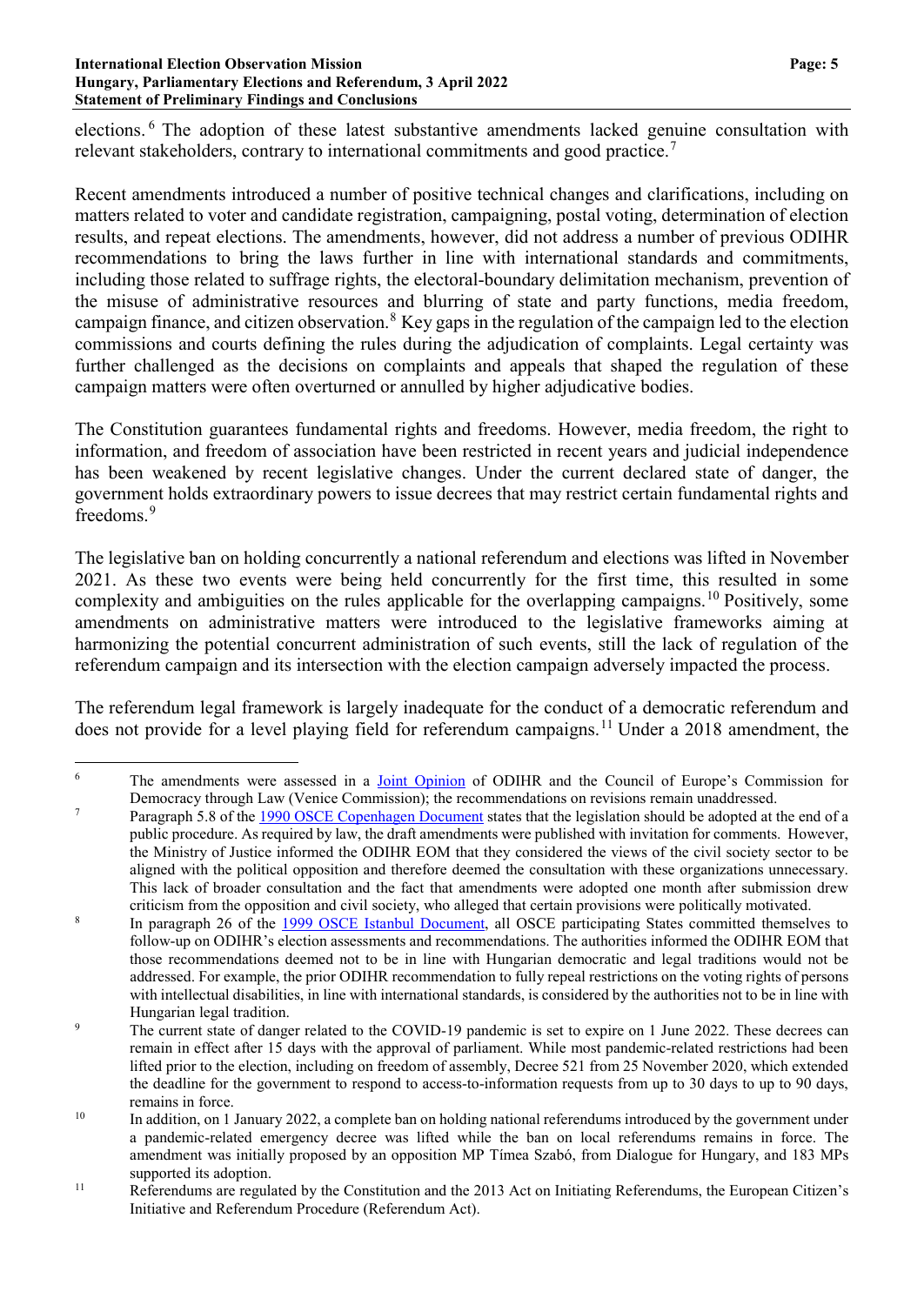#### **International Election Observation Mission Page: 5 Hungary, Parliamentary Elections and Referendum, 3 April 2022 Statement of Preliminary Findings and Conclusions**

elections. [6](#page-4-0) The adoption of these latest substantive amendments lacked genuine consultation with relevant stakeholders, contrary to international commitments and good practice.<sup>[7](#page-4-1)</sup>

Recent amendments introduced a number of positive technical changes and clarifications, including on matters related to voter and candidate registration, campaigning, postal voting, determination of election results, and repeat elections. The amendments, however, did not address a number of previous ODIHR recommendations to bring the laws further in line with international standards and commitments, including those related to suffrage rights, the electoral-boundary delimitation mechanism, prevention of the misuse of administrative resources and blurring of state and party functions, media freedom, campaign finance, and citizen observation.<sup>[8](#page-4-2)</sup> Key gaps in the regulation of the campaign led to the election commissions and courts defining the rules during the adjudication of complaints. Legal certainty was further challenged as the decisions on complaints and appeals that shaped the regulation of these campaign matters were often overturned or annulled by higher adjudicative bodies.

The Constitution guarantees fundamental rights and freedoms. However, media freedom, the right to information, and freedom of association have been restricted in recent years and judicial independence has been weakened by recent legislative changes. Under the current declared state of danger, the government holds extraordinary powers to issue decrees that may restrict certain fundamental rights and freedoms<sup>[9](#page-4-3)</sup>

The legislative ban on holding concurrently a national referendum and elections was lifted in November 2021. As these two events were being held concurrently for the first time, this resulted in some complexity and ambiguities on the rules applicable for the overlapping campaigns.<sup>[10](#page-4-4)</sup> Positively, some amendments on administrative matters were introduced to the legislative frameworks aiming at harmonizing the potential concurrent administration of such events, still the lack of regulation of the referendum campaign and its intersection with the election campaign adversely impacted the process.

The referendum legal framework is largely inadequate for the conduct of a democratic referendum and does not provide for a level playing field for referendum campaigns.<sup>[11](#page-4-5)</sup> Under a 2018 amendment, the

<span id="page-4-0"></span><sup>&</sup>lt;sup>6</sup> The amendments were assessed in a *Joint [Opinion](https://www.osce.org/files/f/documents/a/5/502029.pdf)* of ODIHR and the Council of Europe's Commission for

<span id="page-4-1"></span>Democracy through Law (Venice Commission); the recommendations on revisions remain unaddressed.<br>Paragraph 5.8 of the <u>1990 OSCE Copenhagen Document</u> states that the legislation should be adopted at the end of a public procedure. As required by law, the draft amendments were published with invitation for comments. However, the Ministry of Justice informed the ODIHR EOM that they considered the views of the civil society sector to be aligned with the political opposition and therefore deemed the consultation with these organizations unnecessary. This lack of broader consultation and the fact that amendments were adopted one month after submission drew criticism from the opposition and civil society, who alleged that certain provisions were politically motivated.

<span id="page-4-2"></span><sup>&</sup>lt;sup>8</sup> In paragraph 26 of the 1999 OSCE Istanbul [Document,](https://www.osce.org/files/f/documents/6/5/39569.pdf) all OSCE participating States committed themselves to follow-up on ODIHR's election assessments and recommendations. The authorities informed the ODIHR EOM that those recommendations deemed not to be in line with Hungarian democratic and legal traditions would not be addressed. For example, the prior ODIHR recommendation to fully repeal restrictions on the voting rights of persons with intellectual disabilities, in line with international standards, is considered by the authorities not to be in line with Hungarian legal tradition.

<span id="page-4-3"></span>The current state of danger related to the COVID-19 pandemic is set to expire on 1 June 2022. These decrees can remain in effect after 15 days with the approval of parliament. While most pandemic-related restrictions had been lifted prior to the election, including on freedom of assembly, Decree 521 from 25 November 2020, which extended the deadline for the government to respond to access-to-information requests from up to 30 days to up to 90 days, remains in force.

<span id="page-4-4"></span><sup>&</sup>lt;sup>10</sup> In addition, on 1 January 2022, a complete ban on holding national referendums introduced by the government under a pandemic-related emergency decree was lifted while the ban on local referendums remains in force. The amendment was initially proposed by an opposition MP Tímea Szabó, from Dialogue for Hungary, and 183 MPs supported its adoption.

<span id="page-4-5"></span><sup>&</sup>lt;sup>11</sup> Referendums are regulated by the Constitution and the 2013 Act on Initiating Referendums, the European Citizen's Initiative and Referendum Procedure (Referendum Act).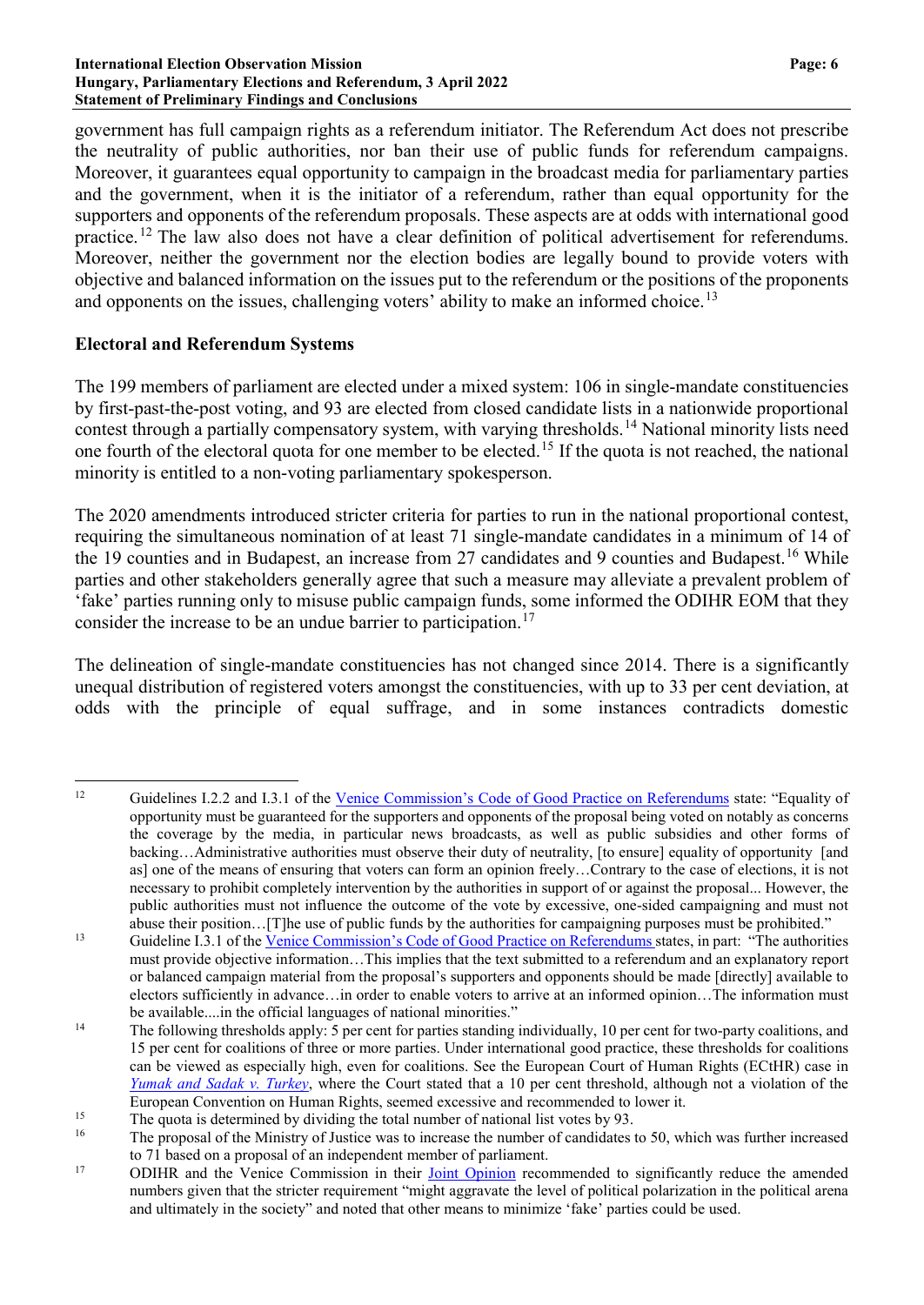government has full campaign rights as a referendum initiator. The Referendum Act does not prescribe the neutrality of public authorities, nor ban their use of public funds for referendum campaigns. Moreover, it guarantees equal opportunity to campaign in the broadcast media for parliamentary parties and the government, when it is the initiator of a referendum, rather than equal opportunity for the supporters and opponents of the referendum proposals. These aspects are at odds with international good practice.[12](#page-5-0) The law also does not have a clear definition of political advertisement for referendums. Moreover, neither the government nor the election bodies are legally bound to provide voters with objective and balanced information on the issues put to the referendum or the positions of the proponents and opponents on the issues, challenging voters' ability to make an informed choice.<sup>[13](#page-5-1)</sup>

# **Electoral and Referendum Systems**

The 199 members of parliament are elected under a mixed system: 106 in single-mandate constituencies by first-past-the-post voting, and 93 are elected from closed candidate lists in a nationwide proportional contest through a partially compensatory system, with varying thresholds.[14](#page-5-2) National minority lists need one fourth of the electoral quota for one member to be elected.[15](#page-5-3) If the quota is not reached, the national minority is entitled to a non-voting parliamentary spokesperson.

The 2020 amendments introduced stricter criteria for parties to run in the national proportional contest, requiring the simultaneous nomination of at least 71 single-mandate candidates in a minimum of 14 of the 19 counties and in Budapest, an increase from 27 candidates and 9 counties and Budapest.<sup>[16](#page-5-4)</sup> While parties and other stakeholders generally agree that such a measure may alleviate a prevalent problem of 'fake' parties running only to misuse public campaign funds, some informed the ODIHR EOM that they consider the increase to be an undue barrier to participation.<sup>[17](#page-5-5)</sup>

The delineation of single-mandate constituencies has not changed since 2014. There is a significantly unequal distribution of registered voters amongst the constituencies, with up to 33 per cent deviation, at odds with the principle of equal suffrage, and in some instances contradicts domestic

<span id="page-5-0"></span><sup>&</sup>lt;sup>12</sup> Guidelines I.2.2 and I.3.1 of the Venice [Commission's](https://www.venice.coe.int/webforms/documents/default.aspx?pdffile=CDL-AD(2007)008rev-cor-e) Code of Good Practice on Referendums state: "Equality of opportunity must be guaranteed for the supporters and opponents of the proposal being voted on notably as concerns the coverage by the media, in particular news broadcasts, as well as public subsidies and other forms of backing…Administrative authorities must observe their duty of neutrality, [to ensure] equality of opportunity [and as] one of the means of ensuring that voters can form an opinion freely…Contrary to the case of elections, it is not necessary to prohibit completely intervention by the authorities in support of or against the proposal... However, the public authorities must not influence the outcome of the vote by excessive, one-sided campaigning and must not abuse their position…[T]he use of public funds by the authorities for campaigning purposes must be prohibited."

<span id="page-5-1"></span><sup>&</sup>lt;sup>13</sup> Guideline I.3.1 of the Venice [Commission's](https://www.venice.coe.int/webforms/documents/default.aspx?pdffile=CDL-AD(2007)008rev-cor-e) Code of Good Practice on Referendums states, in part: "The authorities must provide objective information…This implies that the text submitted to a referendum and an explanatory report or balanced campaign material from the proposal's supporters and opponents should be made [directly] available to electors sufficiently in advance…in order to enable voters to arrive at an informed opinion…The information must be available....in the official languages of national minorities."

<span id="page-5-2"></span><sup>&</sup>lt;sup>14</sup> The following thresholds apply: 5 per cent for parties standing individually, 10 per cent for two-party coalitions, and 15 per cent for coalitions of three or more parties. Under international good practice, these thresholds for coalitions can be viewed as especially high, even for coalitions. See the European Court of Human Rights (ECtHR) case in *Yumak and Sadak v. [Turkey](https://hudoc.echr.coe.int/eng#%7B%2522itemid%2522:%5B%2522001-87363%2522%5D%7D)*, where the Court stated that a 10 per cent threshold, although not a violation of the European Convention on Human Rights, seemed excessive and recommended to lower it.

<span id="page-5-4"></span><span id="page-5-3"></span><sup>&</sup>lt;sup>15</sup> The quota is determined by dividing the total number of national list votes by 93.

The proposal of the Ministry of Justice was to increase the number of candidates to 50, which was further increased to 71 based on a proposal of an independent member of parliament.

<span id="page-5-5"></span><sup>&</sup>lt;sup>17</sup> ODIHR and the Venice Commission in their **Joint [Opinion](https://www.osce.org/files/f/documents/a/5/502029.pdf)** recommended to significantly reduce the amended numbers given that the stricter requirement "might aggravate the level of political polarization in the political arena and ultimately in the society" and noted that other means to minimize 'fake' parties could be used.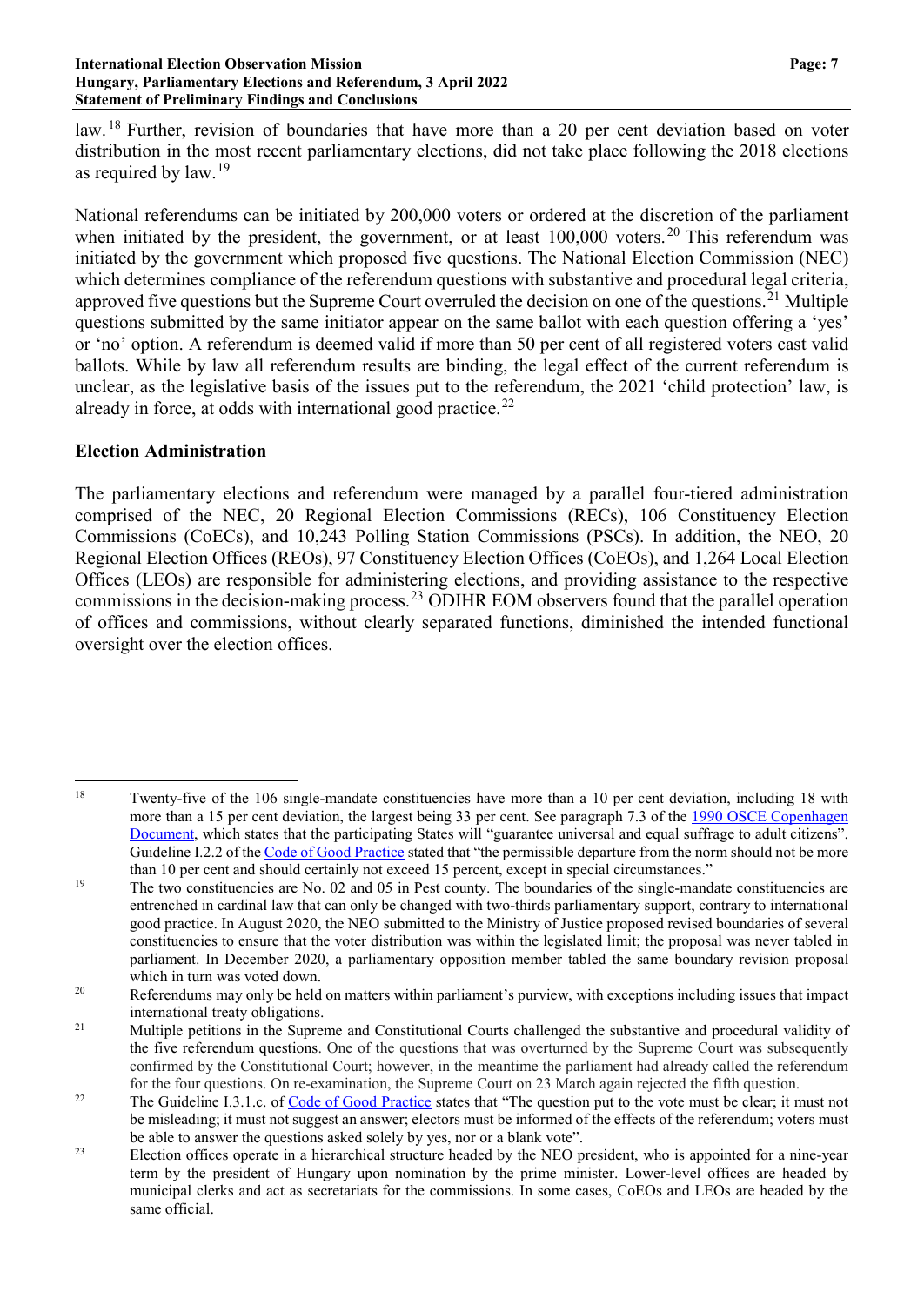law. <sup>[18](#page-6-0)</sup> Further, revision of boundaries that have more than a 20 per cent deviation based on voter distribution in the most recent parliamentary elections, did not take place following the 2018 elections as required by law.[19](#page-6-1)

National referendums can be initiated by 200,000 voters or ordered at the discretion of the parliament when initiated by the president, the government, or at least 100,000 voters.<sup>[20](#page-6-2)</sup> This referendum was initiated by the government which proposed five questions. The National Election Commission (NEC) which determines compliance of the referendum questions with substantive and procedural legal criteria, approved five questions but the Supreme Court overruled the decision on one of the questions.<sup>[21](#page-6-3)</sup> Multiple questions submitted by the same initiator appear on the same ballot with each question offering a 'yes' or 'no' option. A referendum is deemed valid if more than 50 per cent of all registered voters cast valid ballots. While by law all referendum results are binding, the legal effect of the current referendum is unclear, as the legislative basis of the issues put to the referendum, the 2021 'child protection' law, is already in force, at odds with international good practice.<sup>[22](#page-6-4)</sup>

## **Election Administration**

The parliamentary elections and referendum were managed by a parallel four-tiered administration comprised of the NEC, 20 Regional Election Commissions (RECs), 106 Constituency Election Commissions (CoECs), and 10,243 Polling Station Commissions (PSCs). In addition, the NEO, 20 Regional Election Offices (REOs), 97 Constituency Election Offices (CoEOs), and 1,264 Local Election Offices (LEOs) are responsible for administering elections, and providing assistance to the respective commissions in the decision-making process.[23](#page-6-5) ODIHR EOM observers found that the parallel operation of offices and commissions, without clearly separated functions, diminished the intended functional oversight over the election offices.

<span id="page-6-0"></span><sup>&</sup>lt;sup>18</sup> Twenty-five of the 106 single-mandate constituencies have more than a 10 per cent deviation, including 18 with more than a 15 per cent deviation, the largest being 33 per cent. See paragraph 7.3 of the 1990 OSCE [Copenhagen](https://www.osce.org/files/f/documents/9/c/14304.pdf) [Document,](https://www.osce.org/files/f/documents/9/c/14304.pdf) which states that the participating States will "guarantee universal and equal suffrage to adult citizens". Guideline I.2.2 of the Code of Good [Practice](https://www.venice.coe.int/webforms/documents/default.aspx?pdffile=CDL-AD(2002)023rev2-cor-e) stated that "the permissible departure from the norm should not be more than 10 per cent and should certainly not exceed 15 percent, except in special circumstances."

<span id="page-6-1"></span><sup>&</sup>lt;sup>19</sup> The two constituencies are No. 02 and 05 in Pest county. The boundaries of the single-mandate constituencies are entrenched in cardinal law that can only be changed with two-thirds parliamentary support, contrary to international good practice. In August 2020, the NEO submitted to the Ministry of Justice proposed revised boundaries of several constituencies to ensure that the voter distribution was within the legislated limit; the proposal was never tabled in parliament. In December 2020, a parliamentary opposition member tabled the same boundary revision proposal which in turn was voted down.

<span id="page-6-2"></span><sup>&</sup>lt;sup>20</sup> Referendums may only be held on matters within parliament's purview, with exceptions including issues that impact international treaty obligations.

<span id="page-6-3"></span><sup>&</sup>lt;sup>21</sup> Multiple petitions in the Supreme and Constitutional Courts challenged the substantive and procedural validity of the five referendum questions. One of the questions that was overturned by the Supreme Court was subsequently confirmed by the Constitutional Court; however, in the meantime the parliament had already called the referendum for the four questions. On re-examination, the Supreme Court on 23 March again rejected the fifth question.

<span id="page-6-4"></span><sup>&</sup>lt;sup>22</sup> The Guideline I.3.1.c. of Code of Good [Practice](https://www.venice.coe.int/webforms/documents/default.aspx?pdffile=CDL-AD(2002)023rev2-cor-e) states that "The question put to the vote must be clear; it must not be misleading; it must not suggest an answer; electors must be informed of the effects of the referendum; voters must be able to answer the questions asked solely by yes, nor or a blank vote".

<span id="page-6-5"></span><sup>&</sup>lt;sup>23</sup> Election offices operate in a hierarchical structure headed by the NEO president, who is appointed for a nine-year term by the president of Hungary upon nomination by the prime minister. Lower-level offices are headed by municipal clerks and act as secretariats for the commissions. In some cases, CoEOs and LEOs are headed by the same official.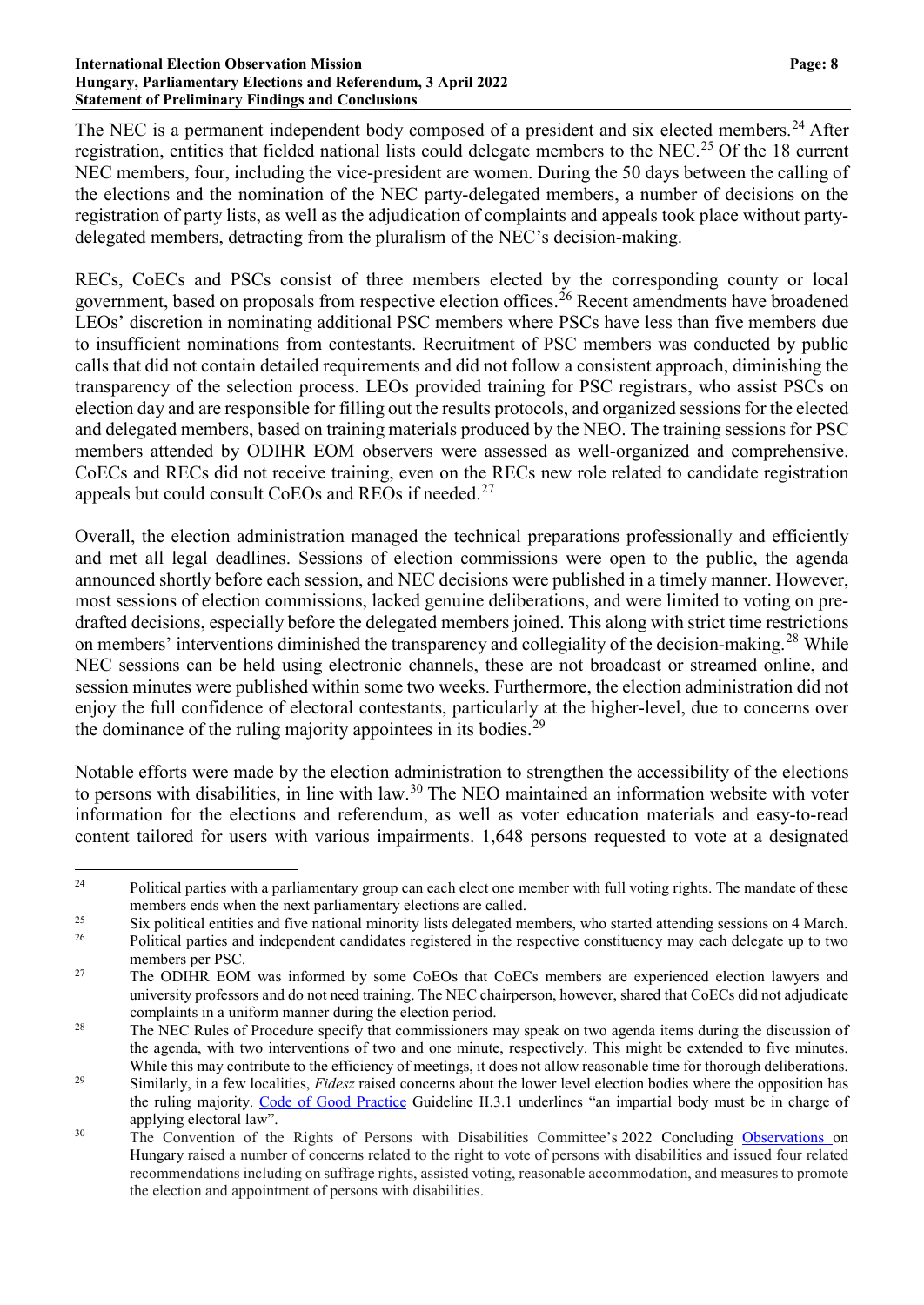#### **International Election Observation Mission Page: 8 Hungary, Parliamentary Elections and Referendum, 3 April 2022 Statement of Preliminary Findings and Conclusions**

The NEC is a permanent independent body composed of a president and six elected members.<sup>[24](#page-7-0)</sup> After registration, entities that fielded national lists could delegate members to the NEC.<sup>[25](#page-7-1)</sup> Of the 18 current NEC members, four, including the vice-president are women. During the 50 days between the calling of the elections and the nomination of the NEC party-delegated members, a number of decisions on the registration of party lists, as well as the adjudication of complaints and appeals took place without partydelegated members, detracting from the pluralism of the NEC's decision-making.

RECs, CoECs and PSCs consist of three members elected by the corresponding county or local government, based on proposals from respective election offices.<sup>[26](#page-7-2)</sup> Recent amendments have broadened LEOs' discretion in nominating additional PSC members where PSCs have less than five members due to insufficient nominations from contestants. Recruitment of PSC members was conducted by public calls that did not contain detailed requirements and did not follow a consistent approach, diminishing the transparency of the selection process. LEOs provided training for PSC registrars, who assist PSCs on election day and are responsible for filling out the results protocols, and organized sessions for the elected and delegated members, based on training materials produced by the NEO. The training sessions for PSC members attended by ODIHR EOM observers were assessed as well-organized and comprehensive. CoECs and RECs did not receive training, even on the RECs new role related to candidate registration appeals but could consult CoEOs and REOs if needed.<sup>[27](#page-7-3)</sup>

Overall, the election administration managed the technical preparations professionally and efficiently and met all legal deadlines. Sessions of election commissions were open to the public, the agenda announced shortly before each session, and NEC decisions were published in a timely manner. However, most sessions of election commissions, lacked genuine deliberations, and were limited to voting on predrafted decisions, especially before the delegated members joined. This along with strict time restrictions on members' interventions diminished the transparency and collegiality of the decision-making.<sup>[28](#page-7-4)</sup> While NEC sessions can be held using electronic channels, these are not broadcast or streamed online, and session minutes were published within some two weeks. Furthermore, the election administration did not enjoy the full confidence of electoral contestants, particularly at the higher-level, due to concerns over the dominance of the ruling majority appointees in its bodies.<sup>[29](#page-7-5)</sup>

Notable efforts were made by the election administration to strengthen the accessibility of the elections to persons with disabilities, in line with law.<sup>[30](#page-7-6)</sup> The NEO maintained an information website with voter information for the elections and referendum, as well as voter education materials and easy-to-read content tailored for users with various impairments. 1,648 persons requested to vote at a designated

<span id="page-7-0"></span><sup>&</sup>lt;sup>24</sup> Political parties with a parliamentary group can each elect one member with full voting rights. The mandate of these members ends when the next parliamentary elections are called.

<span id="page-7-1"></span><sup>&</sup>lt;sup>25</sup> Six political entities and five national minority lists delegated members, who started attending sessions on 4 March.<br><sup>26</sup> Political parties and independent condidates registered in the remeative constituency may goa

<span id="page-7-2"></span><sup>26</sup> Political parties and independent candidates registered in the respective constituency may each delegate up to two members per PSC.

<span id="page-7-3"></span><sup>&</sup>lt;sup>27</sup> The ODIHR EOM was informed by some CoEOs that CoECs members are experienced election lawyers and university professors and do not need training. The NEC chairperson, however, shared that CoECs did not adjudicate complaints in a uniform manner during the election period.

<span id="page-7-4"></span><sup>&</sup>lt;sup>28</sup> The NEC Rules of Procedure specify that commissioners may speak on two agenda items during the discussion of the agenda, with two interventions of two and one minute, respectively. This might be extended to five minutes. While this may contribute to the efficiency of meetings, it does not allow reasonable time for thorough deliberations.

<span id="page-7-5"></span><sup>&</sup>lt;sup>29</sup> Similarly, in a few localities, *Fidesz* raised concerns about the lower level election bodies where the opposition has the ruling majority. Code of Good [Practice](https://www.venice.coe.int/webforms/documents/default.aspx?pdffile=CDL-AD(2002)023rev2-cor-e) Guideline II.3.1 underlines "an impartial body must be in charge of applying electoral law".

<span id="page-7-6"></span><sup>&</sup>lt;sup>30</sup> The Convention of the Rights of Persons with Disabilities Committee's 2022 Concluding [Observations](https://tbinternet.ohchr.org/_layouts/15/treatybodyexternal/Download.aspx?symbolno=CRPD%2fC%2fHUN%2fCO%2f2-3&Lang=en) on Hungary raised a number of concerns related to the right to vote of persons with disabilities and issued four related recommendations including on suffrage rights, assisted voting, reasonable accommodation, and measures to promote the election and appointment of persons with disabilities.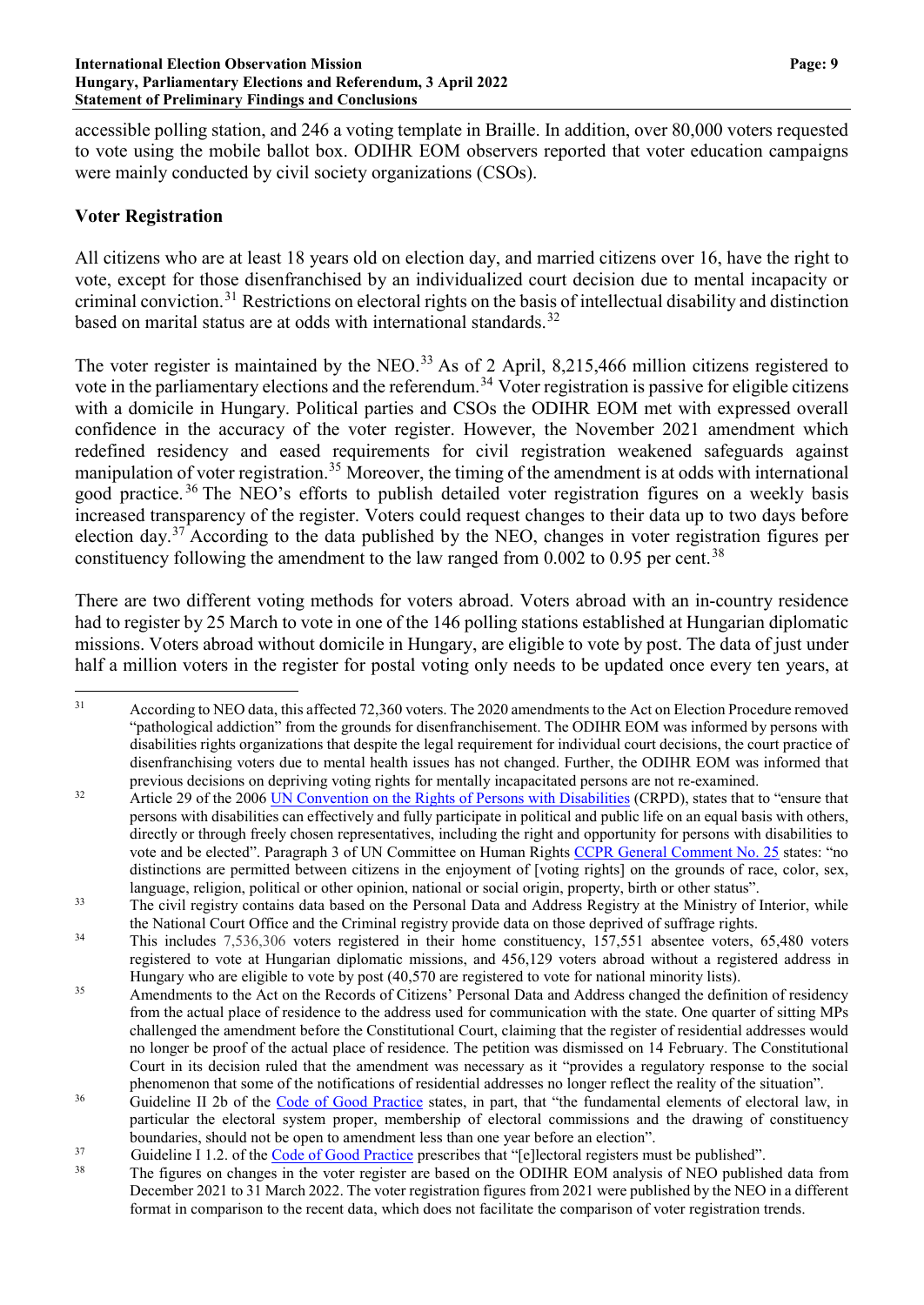accessible polling station, and 246 a voting template in Braille. In addition, over 80,000 voters requested to vote using the mobile ballot box. ODIHR EOM observers reported that voter education campaigns were mainly conducted by civil society organizations (CSOs).

# **Voter Registration**

All citizens who are at least 18 years old on election day, and married citizens over 16, have the right to vote, except for those disenfranchised by an individualized court decision due to mental incapacity or criminal conviction.[31](#page-8-0) Restrictions on electoral rights on the basis of intellectual disability and distinction based on marital status are at odds with international standards.<sup>[32](#page-8-1)</sup>

The voter register is maintained by the NEO.<sup>[33](#page-8-2)</sup> As of 2 April, 8,215,466 million citizens registered to vote in the parliamentary elections and the referendum.<sup>[34](#page-8-3)</sup> Voter registration is passive for eligible citizens with a domicile in Hungary. Political parties and CSOs the ODIHR EOM met with expressed overall confidence in the accuracy of the voter register. However, the November 2021 amendment which redefined residency and eased requirements for civil registration weakened safeguards against manipulation of voter registration.<sup>[35](#page-8-4)</sup> Moreover, the timing of the amendment is at odds with international good practice.<sup>[36](#page-8-5)</sup> The NEO's efforts to publish detailed voter registration figures on a weekly basis increased transparency of the register. Voters could request changes to their data up to two days before election day.[37](#page-8-6) According to the data published by the NEO, changes in voter registration figures per constituency following the amendment to the law ranged from  $0.002$  to  $0.95$  per cent.<sup>[38](#page-8-7)</sup>

There are two different voting methods for voters abroad. Voters abroad with an in-country residence had to register by 25 March to vote in one of the 146 polling stations established at Hungarian diplomatic missions. Voters abroad without domicile in Hungary, are eligible to vote by post. The data of just under half a million voters in the register for postal voting only needs to be updated once every ten years, at

<span id="page-8-0"></span><sup>&</sup>lt;sup>31</sup> According to NEO data, this affected 72,360 voters. The 2020 amendments to the Act on Election Procedure removed "pathological addiction" from the grounds for disenfranchisement. The ODIHR EOM was informed by persons with disabilities rights organizations that despite the legal requirement for individual court decisions, the court practice of disenfranchising voters due to mental health issues has not changed. Further, the ODIHR EOM was informed that previous decisions on depriving voting rights for mentally incapacitated persons are not re-examined.

<span id="page-8-1"></span><sup>&</sup>lt;sup>32</sup> Article 29 of the 2006 UN [Convention](https://www.un.org/development/desa/disabilities/convention-on-the-rights-of-persons-with-disabilities/convention-on-the-rights-of-persons-with-disabilities-2.html) on the Rights of Persons with Disabilities (CRPD), states that to "ensure that persons with disabilities can effectively and fully participate in political and public life on an equal basis with others, directly or through freely chosen representatives, including the right and opportunity for persons with disabilities to vote and be elected". Paragraph 3 of UN Committee on Human Rights CCPR General [Comment](https://www.osce.org/files/f/documents/4/a/19154.pdf) No. 25 states: "no distinctions are permitted between citizens in the enjoyment of [voting rights] on the grounds of race, color, sex, language, religion, political or other opinion, national or social origin, property, birth or other status".

<span id="page-8-2"></span><sup>&</sup>lt;sup>33</sup> The civil registry contains data based on the Personal Data and Address Registry at the Ministry of Interior, while the National Court Office and the Criminal registry provide data on those deprived of suffrage rights.

<span id="page-8-3"></span><sup>&</sup>lt;sup>34</sup> This includes 7,536,306 voters registered in their home constituency, 157,551 absentee voters, 65,480 voters registered to vote at Hungarian diplomatic missions, and 456,129 voters abroad without a registered address in Hungary who are eligible to vote by post (40,570 are registered to vote for national minority lists).

<span id="page-8-4"></span><sup>&</sup>lt;sup>35</sup> Amendments to the Act on the Records of Citizens' Personal Data and Address changed the definition of residency from the actual place of residence to the address used for communication with the state. One quarter of sitting MPs challenged the amendment before the Constitutional Court, claiming that the register of residential addresses would no longer be proof of the actual place of residence. The petition was dismissed on 14 February. The Constitutional Court in its decision ruled that the amendment was necessary as it "provides a regulatory response to the social phenomenon that some of the notifications of residential addresses no longer reflect the reality of the situation".

<span id="page-8-5"></span><sup>&</sup>lt;sup>36</sup> Guideline II 2b of the Code of Good [Practice](https://www.venice.coe.int/webforms/documents/default.aspx?pdffile=CDL-AD(2002)023rev2-cor-e) states, in part, that "the fundamental elements of electoral law, in particular the electoral system proper, membership of electoral commissions and the drawing of constituency boundaries, should not be open to amendment less than one year before an election".

<span id="page-8-7"></span><span id="page-8-6"></span><sup>&</sup>lt;sup>37</sup> Guideline I 1.2. of the <u>Code of Good [Practice](https://www.venice.coe.int/webforms/documents/default.aspx?pdffile=CDL-AD(2002)023rev2-cor-e)</u> prescribes that "[e]lectoral registers must be published".

<sup>38</sup> The figures on changes in the voter register are based on the ODIHR EOM analysis of NEO published data from December 2021 to 31 March 2022. The voter registration figures from 2021 were published by the NEO in a different format in comparison to the recent data, which does not facilitate the comparison of voter registration trends.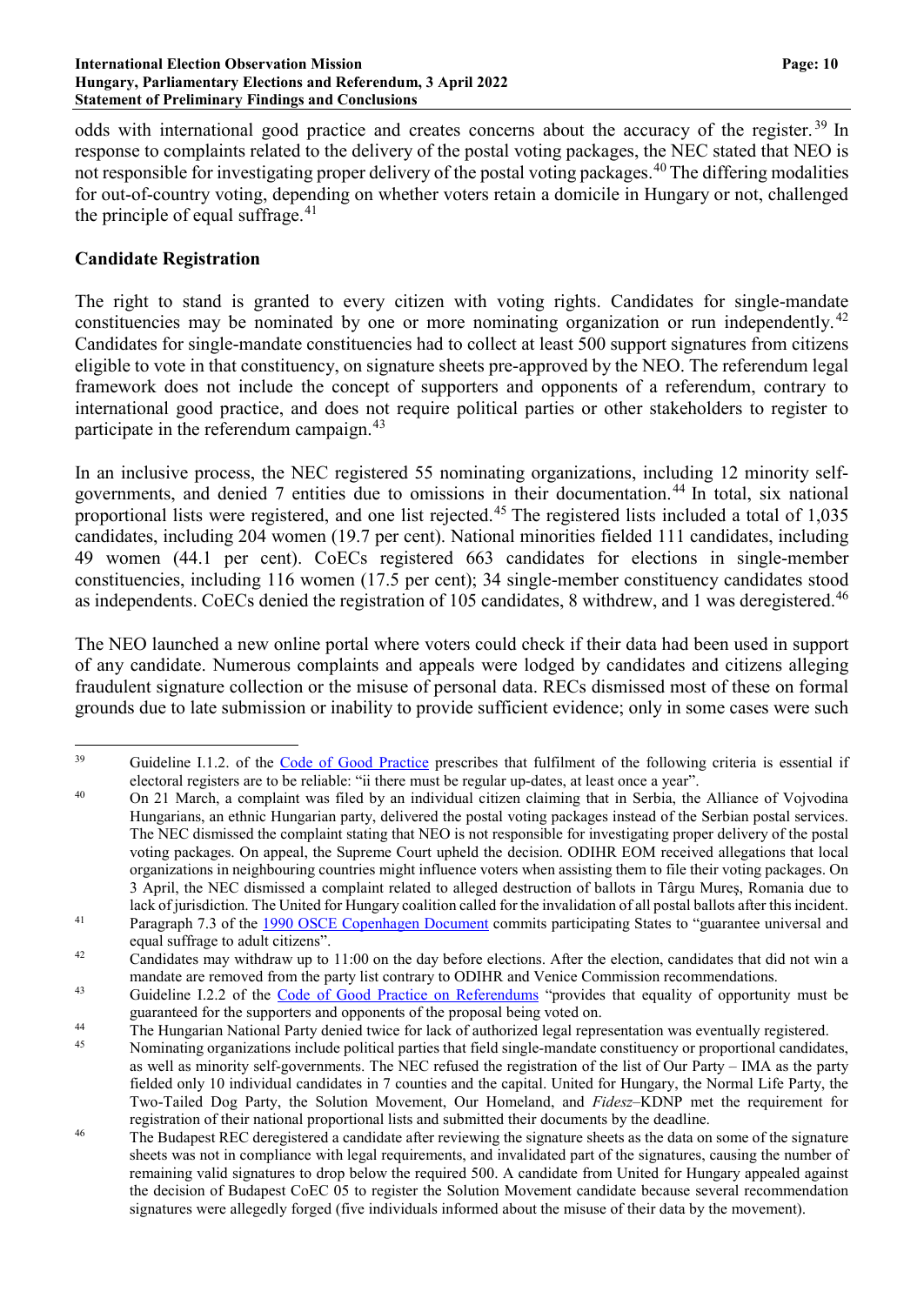#### **International Election Observation Mission Page: 10 Hungary, Parliamentary Elections and Referendum, 3 April 2022 Statement of Preliminary Findings and Conclusions**

odds with international good practice and creates concerns about the accuracy of the register.<sup>[39](#page-9-0)</sup> In response to complaints related to the delivery of the postal voting packages, the NEC stated that NEO is not responsible for investigating proper delivery of the postal voting packages.<sup>[40](#page-9-1)</sup> The differing modalities for out-of-country voting, depending on whether voters retain a domicile in Hungary or not, challenged the principle of equal suffrage. $41$ 

## **Candidate Registration**

The right to stand is granted to every citizen with voting rights. Candidates for single-mandate constituencies may be nominated by one or more nominating organization or run independently.<sup>[42](#page-9-3)</sup> Candidates for single-mandate constituencies had to collect at least 500 support signatures from citizens eligible to vote in that constituency, on signature sheets pre-approved by the NEO. The referendum legal framework does not include the concept of supporters and opponents of a referendum, contrary to international good practice, and does not require political parties or other stakeholders to register to participate in the referendum campaign.<sup>[43](#page-9-4)</sup>

In an inclusive process, the NEC registered 55 nominating organizations, including 12 minority selfgovernments, and denied 7 entities due to omissions in their documentation.[44](#page-9-5) In total, six national proportional lists were registered, and one list rejected.<sup>[45](#page-9-6)</sup> The registered lists included a total of 1,035 candidates, including 204 women (19.7 per cent). National minorities fielded 111 candidates, including 49 women (44.1 per cent). CoECs registered 663 candidates for elections in single-member constituencies, including 116 women (17.5 per cent); 34 single-member constituency candidates stood as independents. CoECs denied the registration of 105 candidates, 8 withdrew, and 1 was deregistered.<sup>[46](#page-9-7)</sup>

The NEO launched a new online portal where voters could check if their data had been used in support of any candidate. Numerous complaints and appeals were lodged by candidates and citizens alleging fraudulent signature collection or the misuse of personal data. RECs dismissed most of these on formal grounds due to late submission or inability to provide sufficient evidence; only in some cases were such

<span id="page-9-0"></span><sup>&</sup>lt;sup>39</sup> Guideline I.1.2. of the Code of Good [Practice](https://www.venice.coe.int/webforms/documents/default.aspx?pdffile=CDL-AD(2002)023rev2-cor-e) prescribes that fulfilment of the following criteria is essential if electoral registers are to be reliable: "ii there must be regular up-dates, at least once a year".

<span id="page-9-1"></span><sup>&</sup>lt;sup>40</sup> On 21 March, a complaint was filed by an individual citizen claiming that in Serbia, the Alliance of Vojvodina Hungarians, an ethnic Hungarian party, delivered the postal voting packages instead of the Serbian postal services. The NEC dismissed the complaint stating that NEO is not responsible for investigating proper delivery of the postal voting packages. On appeal, the Supreme Court upheld the decision. ODIHR EOM received allegations that local organizations in neighbouring countries might influence voters when assisting them to file their voting packages. On 3 April, the NEC dismissed a complaint related to alleged destruction of ballots in Târgu Mureş, Romania due to lack of jurisdiction. The United for Hungary coalition called for the invalidation of all postal ballots after this incident.

<span id="page-9-2"></span><sup>&</sup>lt;sup>41</sup> Paragraph 7.3 of the 1990 OSCE [Copenhagen](https://www.osce.org/files/f/documents/9/c/14304.pdf) Document commits participating States to "guarantee universal and equal suffrage to adult citizens".

<span id="page-9-3"></span><sup>&</sup>lt;sup>42</sup> Candidates may withdraw up to 11:00 on the day before elections. After the election, candidates that did not win a mandate are removed from the party list contrary to ODIHR and Venice Commission recommendations.

<span id="page-9-4"></span><sup>&</sup>lt;sup>43</sup> Guideline I.2.2 of the Code of Good Practice on [Referendums](https://www.venice.coe.int/webforms/documents/default.aspx?pdffile=CDL-AD(2007)008rev-cor-e) "provides that equality of opportunity must be guaranteed for the supporters and opponents of the proposal being voted on.

<span id="page-9-5"></span><sup>&</sup>lt;sup>44</sup> The Hungarian National Party denied twice for lack of authorized legal representation was eventually registered.<br><sup>45</sup> Nominating organizations include political parties that field single mandate constituency or propor

<span id="page-9-6"></span>Nominating organizations include political parties that field single-mandate constituency or proportional candidates, as well as minority self-governments. The NEC refused the registration of the list of Our Party – IMA as the party fielded only 10 individual candidates in 7 counties and the capital. United for Hungary, the Normal Life Party, the Two-Tailed Dog Party, the Solution Movement, Our Homeland, and *Fidesz*–KDNP met the requirement for registration of their national proportional lists and submitted their documents by the deadline.

<span id="page-9-7"></span><sup>&</sup>lt;sup>46</sup> The Budapest REC deregistered a candidate after reviewing the signature sheets as the data on some of the signature sheets was not in compliance with legal requirements, and invalidated part of the signatures, causing the number of remaining valid signatures to drop below the required 500. A candidate from United for Hungary appealed against the decision of Budapest CoEC 05 to register the Solution Movement candidate because several recommendation signatures were allegedly forged (five individuals informed about the misuse of their data by the movement).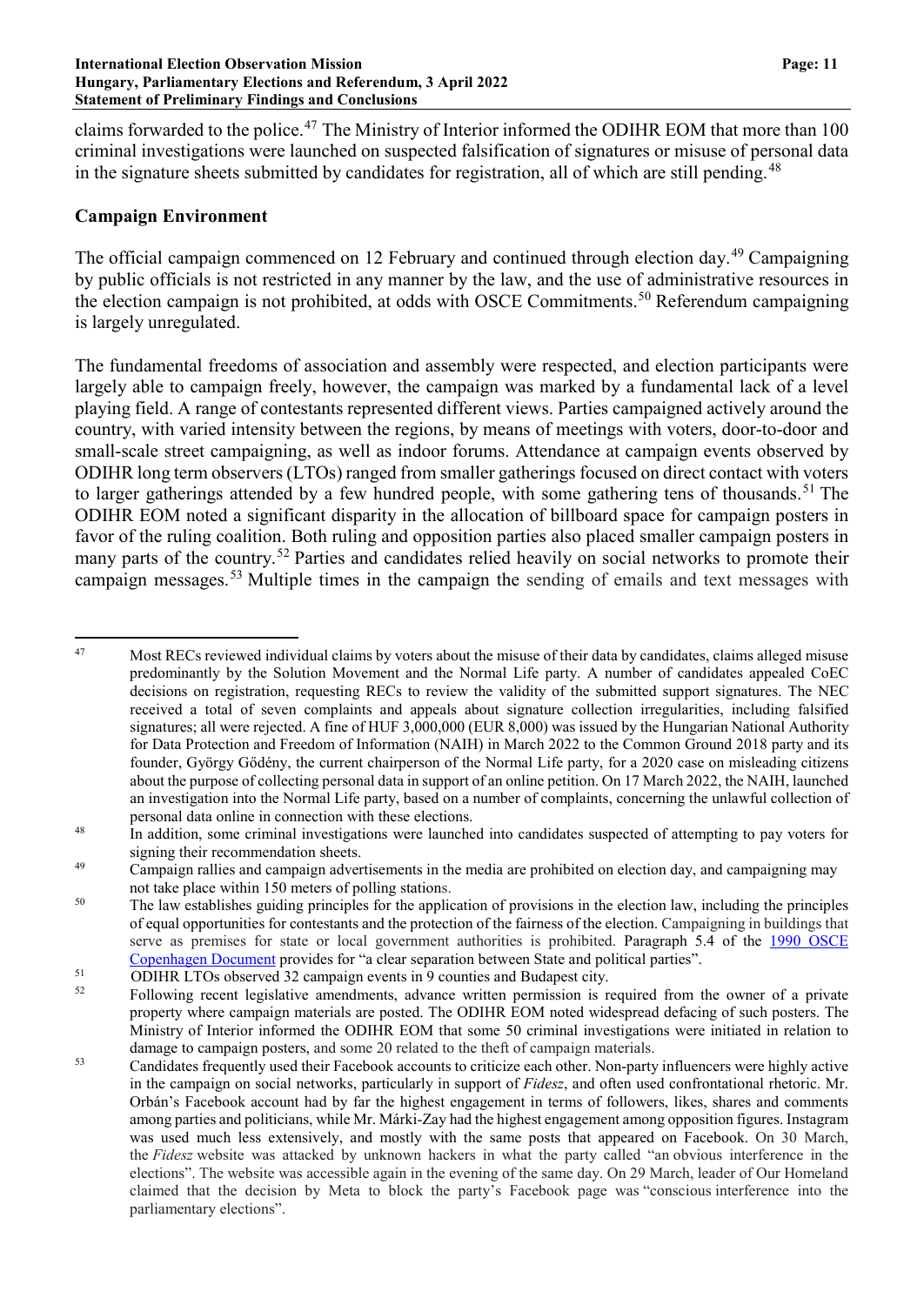claims forwarded to the police.[47](#page-10-0) The Ministry of Interior informed the ODIHR EOM that more than 100 criminal investigations were launched on suspected falsification of signatures or misuse of personal data in the signature sheets submitted by candidates for registration, all of which are still pending.<sup>[48](#page-10-1)</sup>

## **Campaign Environment**

The official campaign commenced on 12 February and continued through election day.<sup>[49](#page-10-2)</sup> Campaigning by public officials is not restricted in any manner by the law, and the use of administrative resources in the election campaign is not prohibited, at odds with OSCE Commitments.<sup>[50](#page-10-3)</sup> Referendum campaigning is largely unregulated.

The fundamental freedoms of association and assembly were respected, and election participants were largely able to campaign freely, however, the campaign was marked by a fundamental lack of a level playing field. A range of contestants represented different views. Parties campaigned actively around the country, with varied intensity between the regions, by means of meetings with voters, door-to-door and small-scale street campaigning, as well as indoor forums. Attendance at campaign events observed by ODIHR long term observers(LTOs) ranged from smaller gatherings focused on direct contact with voters to larger gatherings attended by a few hundred people, with some gathering tens of thousands.<sup>[51](#page-10-4)</sup> The ODIHR EOM noted a significant disparity in the allocation of billboard space for campaign posters in favor of the ruling coalition. Both ruling and opposition parties also placed smaller campaign posters in many parts of the country.<sup>[52](#page-10-5)</sup> Parties and candidates relied heavily on social networks to promote their campaign messages.[53](#page-10-6) Multiple times in the campaign the sending of emails and text messages with

<span id="page-10-0"></span><sup>&</sup>lt;sup>47</sup> Most RECs reviewed individual claims by voters about the misuse of their data by candidates, claims alleged misuse predominantly by the Solution Movement and the Normal Life party. A number of candidates appealed CoEC decisions on registration, requesting RECs to review the validity of the submitted support signatures. The NEC received a total of seven complaints and appeals about signature collection irregularities, including falsified signatures; all were rejected. A fine of HUF 3,000,000 (EUR 8,000) was issued by the Hungarian National Authority for Data Protection and Freedom of Information (NAIH) in March 2022 to the Common Ground 2018 party and its founder, György Gődény, the current chairperson of the Normal Life party, for a 2020 case on misleading citizens about the purpose of collecting personal data in support of an online petition. On 17 March 2022, the NAIH, launched an investigation into the Normal Life party, based on a number of complaints, concerning the unlawful collection of personal data online in connection with these elections.

<span id="page-10-1"></span><sup>&</sup>lt;sup>48</sup> In addition, some criminal investigations were launched into candidates suspected of attempting to pay voters for signing their recommendation sheets.

<span id="page-10-2"></span><sup>&</sup>lt;sup>49</sup> Campaign rallies and campaign advertisements in the media are prohibited on election day, and campaigning may not take place within 150 meters of polling stations.

<span id="page-10-3"></span><sup>&</sup>lt;sup>50</sup> The law establishes guiding principles for the application of provisions in the election law, including the principles of equal opportunities for contestants and the protection of the fairness of the election. Campaigning in buildings that serve as premises for state or local government authorities is prohibited. Paragraph 5.4 of the [1990 OSCE](https://www.osce.org/files/f/documents/9/c/14304.pdf)  [Copenhagen Document](https://www.osce.org/files/f/documents/9/c/14304.pdf) provides for "a clear separation between State and political parties".

<span id="page-10-4"></span> $51$  ODIHR LTOs observed 32 campaign events in 9 counties and Budapest city.<br> $52$  Eollowing recent legislative amendments, advance written permission is r

<span id="page-10-5"></span><sup>52</sup> Following recent legislative amendments, advance written permission is required from the owner of a private property where campaign materials are posted. The ODIHR EOM noted widespread defacing of such posters. The Ministry of Interior informed the ODIHR EOM that some 50 criminal investigations were initiated in relation to damage to campaign posters, and some 20 related to the theft of campaign materials.

<span id="page-10-6"></span><sup>&</sup>lt;sup>53</sup> Candidates frequently used their Facebook accounts to criticize each other. Non-party influencers were highly active in the campaign on social networks, particularly in support of *Fidesz*, and often used confrontational rhetoric. Mr. Orbán's Facebook account had by far the highest engagement in terms of followers, likes, shares and comments among parties and politicians, while Mr. Márki-Zay had the highest engagement among opposition figures. Instagram was used much less extensively, and mostly with the same posts that appeared on Facebook. On 30 March, the *Fidesz* website was attacked by unknown hackers in what the party called "an obvious interference in the elections". The website was accessible again in the evening of the same day. On 29 March, leader of Our Homeland claimed that the decision by Meta to block the party's Facebook page was "conscious interference into the parliamentary elections".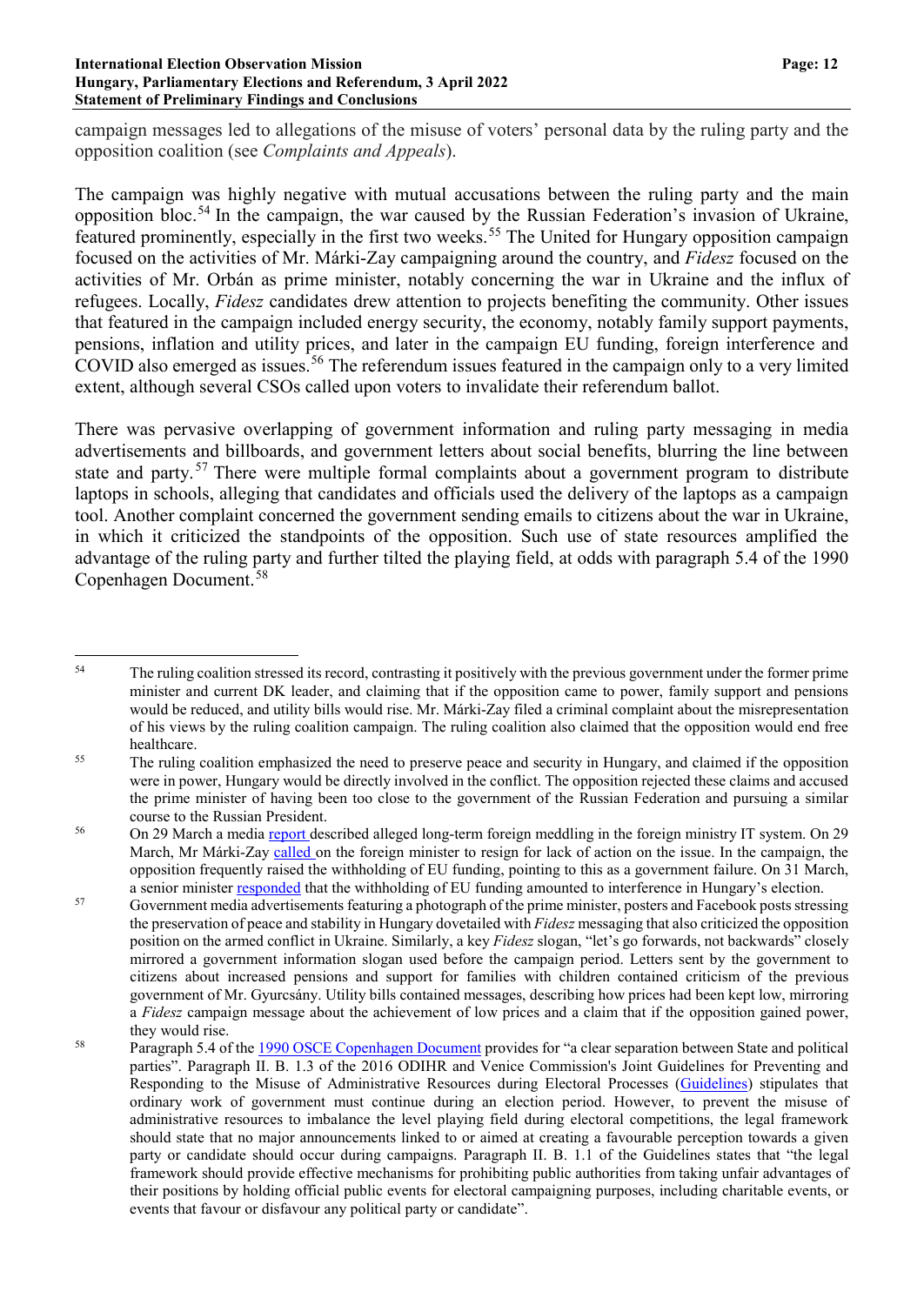#### **International Election Observation Mission Page: 12 Hungary, Parliamentary Elections and Referendum, 3 April 2022 Statement of Preliminary Findings and Conclusions**

campaign messages led to allegations of the misuse of voters' personal data by the ruling party and the opposition coalition (see *Complaints and Appeals*).

The campaign was highly negative with mutual accusations between the ruling party and the main opposition bloc.<sup>[54](#page-11-0)</sup> In the campaign, the war caused by the Russian Federation's invasion of Ukraine, featured prominently, especially in the first two weeks.[55](#page-11-1) The United for Hungary opposition campaign focused on the activities of Mr. Márki-Zay campaigning around the country, and *Fidesz* focused on the activities of Mr. Orbán as prime minister, notably concerning the war in Ukraine and the influx of refugees. Locally, *Fidesz* candidates drew attention to projects benefiting the community. Other issues that featured in the campaign included energy security, the economy, notably family support payments, pensions, inflation and utility prices, and later in the campaign EU funding, foreign interference and COVID also emerged as issues. [56](#page-11-2) The referendum issues featured in the campaign only to a very limited extent, although several CSOs called upon voters to invalidate their referendum ballot.

There was pervasive overlapping of government information and ruling party messaging in media advertisements and billboards, and government letters about social benefits, blurring the line between state and party.<sup>[57](#page-11-3)</sup> There were multiple formal complaints about a government program to distribute laptops in schools, alleging that candidates and officials used the delivery of the laptops as a campaign tool. Another complaint concerned the government sending emails to citizens about the war in Ukraine, in which it criticized the standpoints of the opposition. Such use of state resources amplified the advantage of the ruling party and further tilted the playing field, at odds with paragraph 5.4 of the 1990 Copenhagen Document.[58](#page-11-4)

<span id="page-11-0"></span><sup>&</sup>lt;sup>54</sup> The ruling coalition stressed its record, contrasting it positively with the previous government under the former prime minister and current DK leader, and claiming that if the opposition came to power, family support and pensions would be reduced, and utility bills would rise. Mr. Márki-Zay filed a criminal complaint about the misrepresentation of his views by the ruling coalition campaign. The ruling coalition also claimed that the opposition would end free healthcare.

<span id="page-11-1"></span><sup>&</sup>lt;sup>55</sup> The ruling coalition emphasized the need to preserve peace and security in Hungary, and claimed if the opposition were in power, Hungary would be directly involved in the conflict. The opposition rejected these claims and accused the prime minister of having been too close to the government of the Russian Federation and pursuing a similar course to the Russian President.

<span id="page-11-2"></span><sup>56</sup> On 29 March a media [report](https://www.direkt36.hu/en/putyin-hekkerei-is-latjak-a-magyar-kulugy-titkait-az-orban-kormany-evek-ota-nem-birja-elharitani-oket/) described alleged long-term foreign meddling in the foreign ministry IT system. On 29 March, Mr Márki-Zay [called](https://www.atv.hu/belfold/20220329/marki-zay-szijjarto-peter-lemondasat-koveteli) on the foreign minister to resign for lack of action on the issue. In the campaign, the opposition frequently raised the withholding of EU funding, pointing to this as a government failure. On 31 March, a senior minister [responded](https://www.origo.hu/gazdasag/20220331-varga-mihaly-a-haboru-ellenere-kepes-novekedesi-palyan-maradni-a-magyar-gazdasag.html) that the withholding of EU funding amounted to interference in Hungary's election.

<span id="page-11-3"></span><sup>&</sup>lt;sup>57</sup> Government media advertisements featuring a photograph of the prime minister, posters and Facebook posts stressing the preservation of peace and stability in Hungary dovetailed with *Fidesz* messaging that also criticized the opposition position on the armed conflict in Ukraine. Similarly, a key *Fidesz* slogan, "let's go forwards, not backwards" closely mirrored a government information slogan used before the campaign period. Letters sent by the government to citizens about increased pensions and support for families with children contained criticism of the previous government of Mr. Gyurcsány. Utility bills contained messages, describing how prices had been kept low, mirroring a *Fidesz* campaign message about the achievement of low prices and a claim that if the opposition gained power, they would rise.

<span id="page-11-4"></span><sup>&</sup>lt;sup>58</sup> Paragraph 5.4 of the 1990 OSCE [Copenhagen](https://www.osce.org/files/f/documents/9/c/14304.pdf) Document provides for "a clear separation between State and political parties". Paragraph II. B. 1.3 of the 2016 ODIHR and Venice Commission's Joint Guidelines for Preventing and Responding to the Misuse of Administrative Resources during Electoral Processes [\(Guidelines\)](https://www.venice.coe.int/images/GBR_2016_Guidelines_resources_elections.pdf) stipulates that ordinary work of government must continue during an election period. However, to prevent the misuse of administrative resources to imbalance the level playing field during electoral competitions, the legal framework should state that no major announcements linked to or aimed at creating a favourable perception towards a given party or candidate should occur during campaigns. Paragraph II. B. 1.1 of the Guidelines states that "the legal framework should provide effective mechanisms for prohibiting public authorities from taking unfair advantages of their positions by holding official public events for electoral campaigning purposes, including charitable events, or events that favour or disfavour any political party or candidate".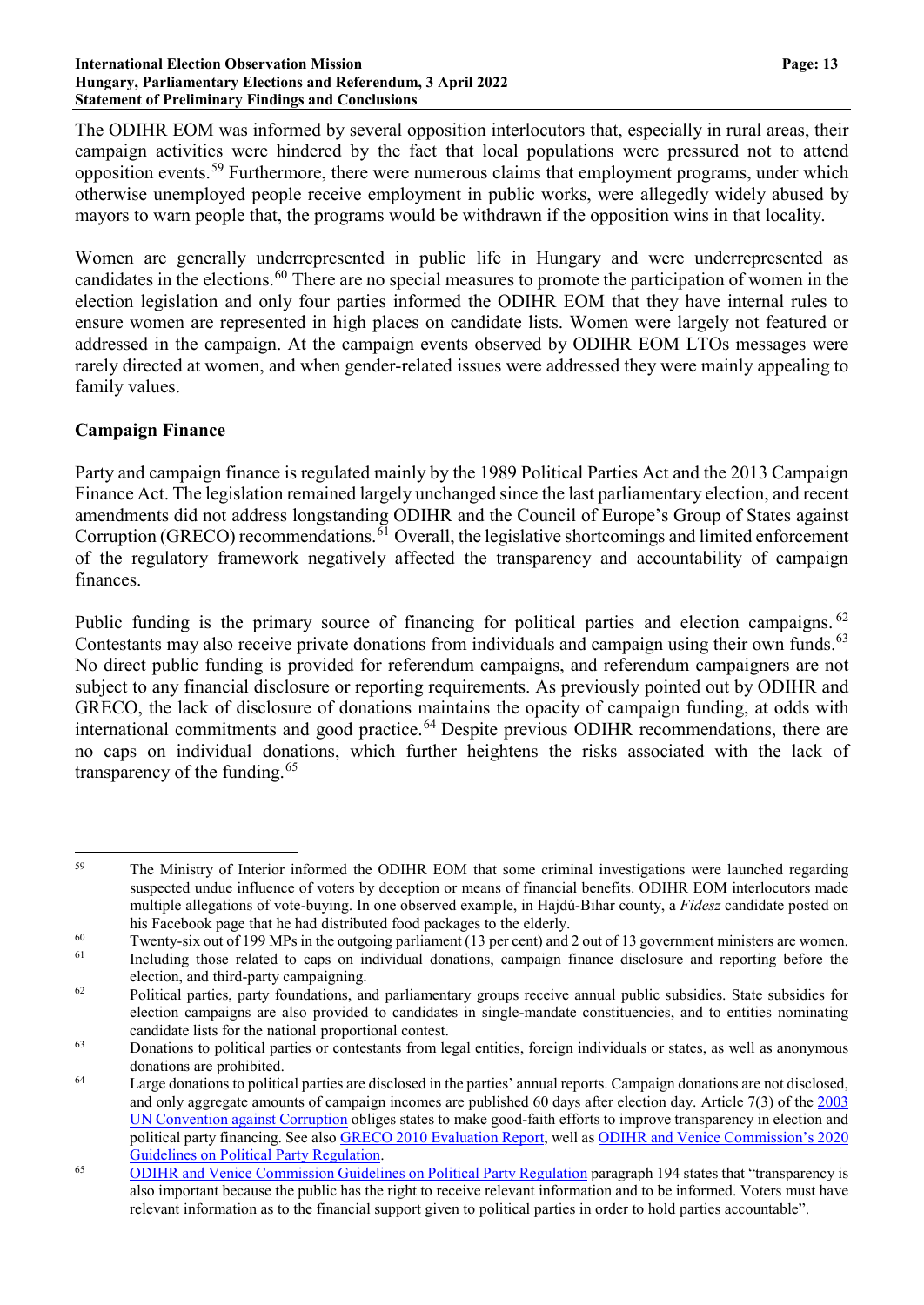#### **International Election Observation Mission Page: 13 Hungary, Parliamentary Elections and Referendum, 3 April 2022 Statement of Preliminary Findings and Conclusions**

The ODIHR EOM was informed by several opposition interlocutors that, especially in rural areas, their campaign activities were hindered by the fact that local populations were pressured not to attend opposition events.[59](#page-12-0) Furthermore, there were numerous claims that employment programs, under which otherwise unemployed people receive employment in public works, were allegedly widely abused by mayors to warn people that, the programs would be withdrawn if the opposition wins in that locality.

Women are generally underrepresented in public life in Hungary and were underrepresented as candidates in the elections.<sup>[60](#page-12-1)</sup> There are no special measures to promote the participation of women in the election legislation and only four parties informed the ODIHR EOM that they have internal rules to ensure women are represented in high places on candidate lists. Women were largely not featured or addressed in the campaign. At the campaign events observed by ODIHR EOM LTOs messages were rarely directed at women, and when gender-related issues were addressed they were mainly appealing to family values.

# **Campaign Finance**

Party and campaign finance is regulated mainly by the 1989 Political Parties Act and the 2013 Campaign Finance Act. The legislation remained largely unchanged since the last parliamentary election, and recent amendments did not address longstanding ODIHR and the Council of Europe's Group of States against Corruption (GRECO) recommendations.  $\delta$ <sup>1</sup> Overall, the legislative shortcomings and limited enforcement of the regulatory framework negatively affected the transparency and accountability of campaign finances.

Public funding is the primary source of financing for political parties and election campaigns. <sup>[62](#page-12-3)</sup> Contestants may also receive private donations from individuals and campaign using their own funds.<sup>[63](#page-12-4)</sup> No direct public funding is provided for referendum campaigns, and referendum campaigners are not subject to any financial disclosure or reporting requirements. As previously pointed out by ODIHR and GRECO, the lack of disclosure of donations maintains the opacity of campaign funding, at odds with international commitments and good practice.<sup>[64](#page-12-5)</sup> Despite previous ODIHR recommendations, there are no caps on individual donations, which further heightens the risks associated with the lack of transparency of the funding. $65$ 

<span id="page-12-0"></span><sup>&</sup>lt;sup>59</sup> The Ministry of Interior informed the ODIHR EOM that some criminal investigations were launched regarding suspected undue influence of voters by deception or means of financial benefits. ODIHR EOM interlocutors made multiple allegations of vote-buying. In one observed example, in Hajdú-Bihar county, a *Fidesz* candidate posted on his Facebook page that he had distributed food packages to the elderly.

<span id="page-12-1"></span><sup>&</sup>lt;sup>60</sup> Twenty-six out of 199 MPs in the outgoing parliament (13 per cent) and 2 out of 13 government ministers are women.<br><sup>61</sup> Including those related to caps on individual doptions, cappaign finance disclosure and reportin

<span id="page-12-2"></span>Including those related to caps on individual donations, campaign finance disclosure and reporting before the election, and third-party campaigning.

<span id="page-12-3"></span><sup>&</sup>lt;sup>62</sup> Political parties, party foundations, and parliamentary groups receive annual public subsidies. State subsidies for election campaigns are also provided to candidates in single-mandate constituencies, and to entities nominating candidate lists for the national proportional contest.

<span id="page-12-4"></span><sup>&</sup>lt;sup>63</sup> Donations to political parties or contestants from legal entities, foreign individuals or states, as well as anonymous donations are prohibited.

<span id="page-12-5"></span> $<sup>64</sup>$  Large donations to political parties are disclosed in the parties' annual reports. Campaign donations are not disclosed,</sup> and only aggregate amounts of campaign incomes are published 60 days after election day. Article 7(3) of the [2003](https://www.unodc.org/unodc/en/corruption/tools_and_publications/UN-convention-against-corruption.html) UN [Convention](https://www.unodc.org/unodc/en/corruption/tools_and_publications/UN-convention-against-corruption.html) against Corruption obliges states to make good-faith efforts to improve transparency in election and political party financing. See also GRECO 2010 [Evaluation](https://rm.coe.int/CoERMPublicCommonSearchServices/DisplayDCTMContent?documentId=09000016806c6b30) Report, well as ODIHR and Venice [Commission's](https://www.venice.coe.int/webforms/documents/default.aspx?pdffile=CDL-AD(2020)032-e) 2020 Guidelines on Political Party [Regulation.](https://www.venice.coe.int/webforms/documents/default.aspx?pdffile=CDL-AD(2020)032-e)

<span id="page-12-6"></span><sup>&</sup>lt;sup>65</sup> ODIHR and Venice [Commission](https://www.osce.org/files/f/documents/2/b/77812.pdf) Guidelines on Political Party Regulation paragraph 194 states that "transparency is also important because the public has the right to receive relevant information and to be informed. Voters must have relevant information as to the financial support given to political parties in order to hold parties accountable".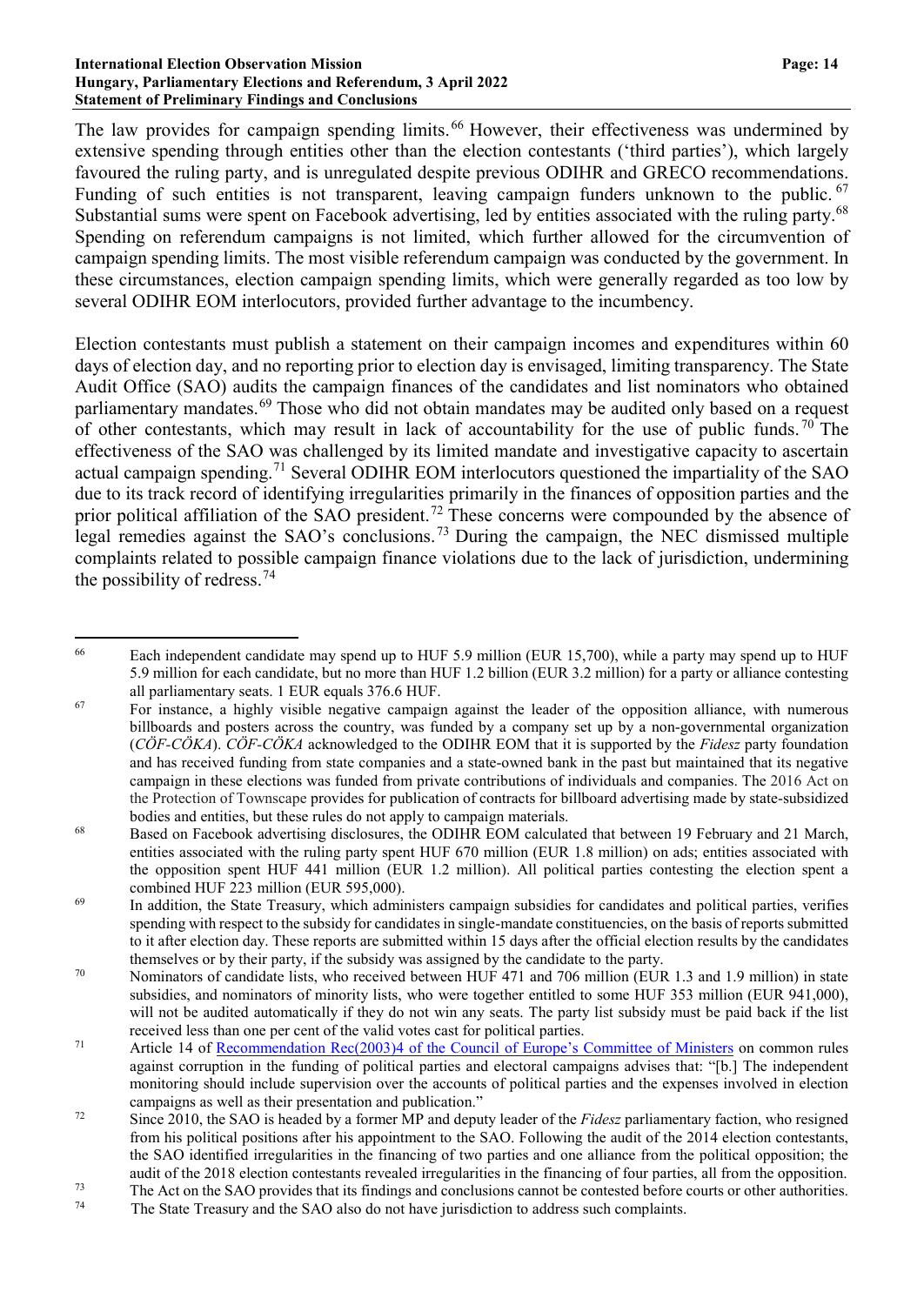#### **International Election Observation Mission Page: 14 Hungary, Parliamentary Elections and Referendum, 3 April 2022 Statement of Preliminary Findings and Conclusions**

The law provides for campaign spending limits.<sup>[66](#page-13-0)</sup> However, their effectiveness was undermined by extensive spending through entities other than the election contestants ('third parties'), which largely favoured the ruling party, and is unregulated despite previous ODIHR and GRECO recommendations. Funding of such entities is not transparent, leaving campaign funders unknown to the public. [67](#page-13-1) Substantial sums were spent on Facebook advertising, led by entities associated with the ruling party.<sup>[68](#page-13-2)</sup> Spending on referendum campaigns is not limited, which further allowed for the circumvention of campaign spending limits. The most visible referendum campaign was conducted by the government. In these circumstances, election campaign spending limits, which were generally regarded as too low by several ODIHR EOM interlocutors, provided further advantage to the incumbency.

Election contestants must publish a statement on their campaign incomes and expenditures within 60 days of election day, and no reporting prior to election day is envisaged, limiting transparency. The State Audit Office (SAO) audits the campaign finances of the candidates and list nominators who obtained parliamentary mandates.[69](#page-13-3) Those who did not obtain mandates may be audited only based on a request of other contestants, which may result in lack of accountability for the use of public funds.<sup>[70](#page-13-4)</sup> The effectiveness of the SAO was challenged by its limited mandate and investigative capacity to ascertain actual campaign spending.<sup>[71](#page-13-5)</sup> Several ODIHR EOM interlocutors questioned the impartiality of the SAO due to its track record of identifying irregularities primarily in the finances of opposition parties and the prior political affiliation of the SAO president.<sup>[72](#page-13-6)</sup> These concerns were compounded by the absence of legal remedies against the SAO's conclusions.[73](#page-13-7) During the campaign, the NEC dismissed multiple complaints related to possible campaign finance violations due to the lack of jurisdiction, undermining the possibility of redress.<sup>[74](#page-13-8)</sup>

<span id="page-13-0"></span><sup>&</sup>lt;sup>66</sup> Each independent candidate may spend up to HUF 5.9 million (EUR 15,700), while a party may spend up to HUF 5.9 million for each candidate, but no more than HUF 1.2 billion (EUR 3.2 million) for a party or alliance contesting all parliamentary seats. 1 EUR equals 376.6 HUF.

<span id="page-13-1"></span> $67$  For instance, a highly visible negative campaign against the leader of the opposition alliance, with numerous billboards and posters across the country, was funded by a company set up by a non-governmental organization (*CÖF-CÖKA*). *CÖF-CÖKA* acknowledged to the ODIHR EOM that it is supported by the *Fidesz* party foundation and has received funding from state companies and a state-owned bank in the past but maintained that its negative campaign in these elections was funded from private contributions of individuals and companies. The 2016 Act on the Protection of Townscape provides for publication of contracts for billboard advertising made by state-subsidized bodies and entities, but these rules do not apply to campaign materials.

<span id="page-13-2"></span><sup>&</sup>lt;sup>68</sup> Based on Facebook advertising disclosures, the ODIHR EOM calculated that between 19 February and 21 March, entities associated with the ruling party spent HUF 670 million (EUR 1.8 million) on ads; entities associated with the opposition spent HUF 441 million (EUR 1.2 million). All political parties contesting the election spent a combined HUF 223 million (EUR 595,000).

<span id="page-13-3"></span><sup>&</sup>lt;sup>69</sup> In addition, the State Treasury, which administers campaign subsidies for candidates and political parties, verifies spending with respect to the subsidy for candidates in single-mandate constituencies, on the basis of reports submitted to it after election day. These reports are submitted within 15 days after the official election results by the candidates themselves or by their party, if the subsidy was assigned by the candidate to the party.

<span id="page-13-4"></span><sup>&</sup>lt;sup>70</sup> Nominators of candidate lists, who received between HUF 471 and 706 million (EUR 1.3 and 1.9 million) in state subsidies, and nominators of minority lists, who were together entitled to some HUF 353 million (EUR 941,000), will not be audited automatically if they do not win any seats. The party list subsidy must be paid back if the list received less than one per cent of the valid votes cast for political parties.

<span id="page-13-5"></span><sup>71</sup> Article 14 of [Recommendation](https://rm.coe.int/16806cc1f1) Rec(2003)4 of the Council of Europe's Committee of Ministers on common rules against corruption in the funding of political parties and electoral campaigns advises that: "[b.] The independent monitoring should include supervision over the accounts of political parties and the expenses involved in election campaigns as well as their presentation and publication."

<span id="page-13-6"></span><sup>&</sup>lt;sup>72</sup> Since 2010, the SAO is headed by a former MP and deputy leader of the *Fidesz* parliamentary faction, who resigned from his political positions after his appointment to the SAO. Following the audit of the 2014 election contestants, the SAO identified irregularities in the financing of two parties and one alliance from the political opposition; the audit of the 2018 election contestants revealed irregularities in the financing of four parties, all from the opposition.

<span id="page-13-8"></span><span id="page-13-7"></span> $^{73}$  The Act on the SAO provides that its findings and conclusions cannot be contested before courts or other authorities.

The State Treasury and the SAO also do not have jurisdiction to address such complaints.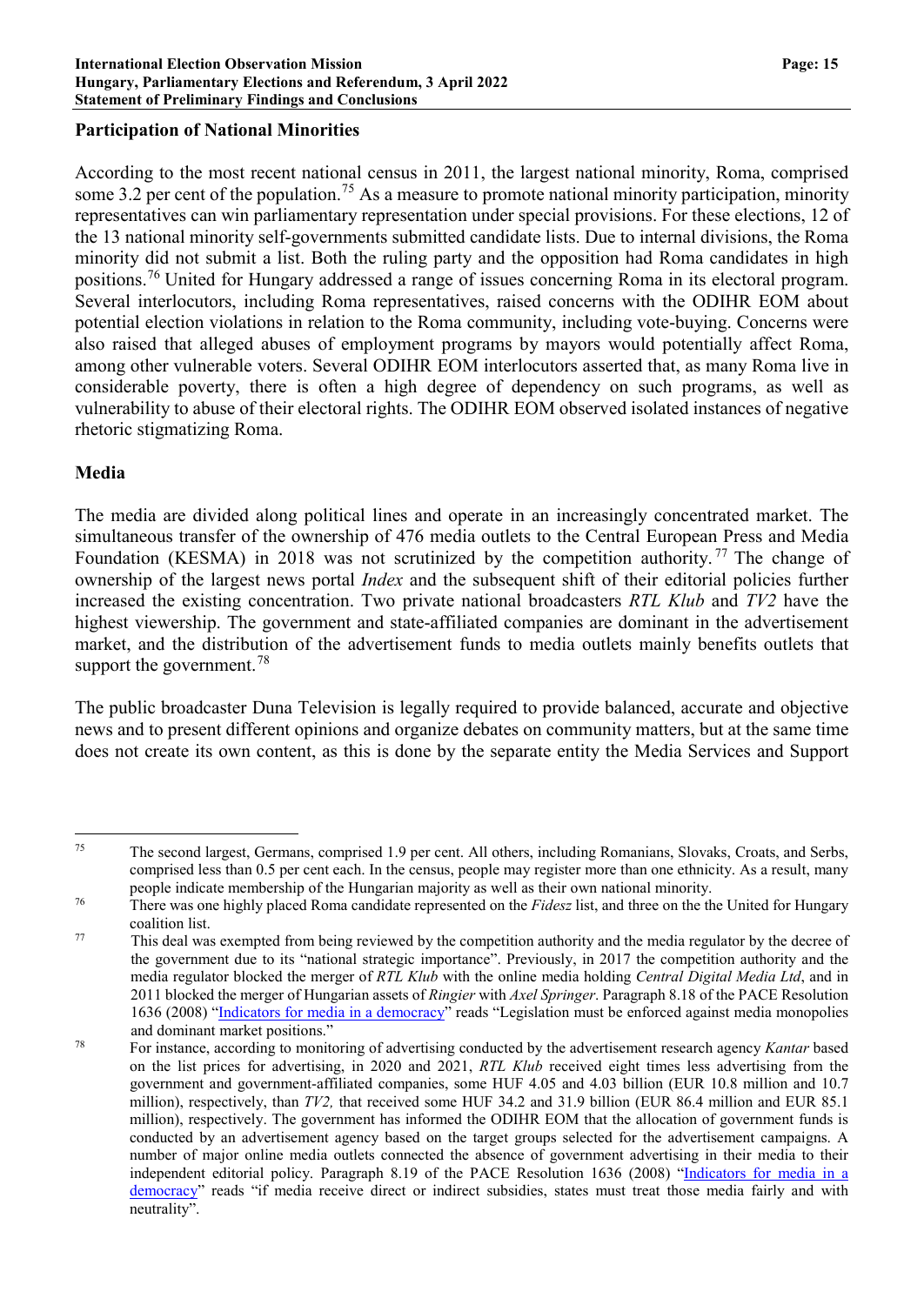### **Participation of National Minorities**

According to the most recent national census in 2011, the largest national minority, Roma, comprised some 3.2 per cent of the population.<sup>[75](#page-14-0)</sup> As a measure to promote national minority participation, minority representatives can win parliamentary representation under special provisions. For these elections, 12 of the 13 national minority self-governments submitted candidate lists. Due to internal divisions, the Roma minority did not submit a list. Both the ruling party and the opposition had Roma candidates in high positions.[76](#page-14-1) United for Hungary addressed a range of issues concerning Roma in its electoral program. Several interlocutors, including Roma representatives, raised concerns with the ODIHR EOM about potential election violations in relation to the Roma community, including vote-buying. Concerns were also raised that alleged abuses of employment programs by mayors would potentially affect Roma, among other vulnerable voters. Several ODIHR EOM interlocutors asserted that, as many Roma live in considerable poverty, there is often a high degree of dependency on such programs, as well as vulnerability to abuse of their electoral rights. The ODIHR EOM observed isolated instances of negative rhetoric stigmatizing Roma.

### **Media**

The media are divided along political lines and operate in an increasingly concentrated market. The simultaneous transfer of the ownership of 476 media outlets to the Central European Press and Media Foundation (KESMA) in 2018 was not scrutinized by the competition authority.<sup>[77](#page-14-2)</sup> The change of ownership of the largest news portal *Index* and the subsequent shift of their editorial policies further increased the existing concentration. Two private national broadcasters *RTL Klub* and *TV2* have the highest viewership. The government and state-affiliated companies are dominant in the advertisement market, and the distribution of the advertisement funds to media outlets mainly benefits outlets that support the government.<sup>[78](#page-14-3)</sup>

The public broadcaster Duna Television is legally required to provide balanced, accurate and objective news and to present different opinions and organize debates on community matters, but at the same time does not create its own content, as this is done by the separate entity the Media Services and Support

<span id="page-14-0"></span> <sup>75</sup> The second largest, Germans, comprised 1.9 per cent. All others, including Romanians, Slovaks, Croats, and Serbs, comprised less than 0.5 per cent each. In the census, people may register more than one ethnicity. As a result, many people indicate membership of the Hungarian majority as well as their own national minority.

<span id="page-14-1"></span><sup>76</sup> There was one highly placed Roma candidate represented on the *Fidesz* list, and three on the the United for Hungary coalition list.

<span id="page-14-2"></span><sup>77</sup> This deal was exempted from being reviewed by the competition authority and the media regulator by the decree of the government due to its "national strategic importance". Previously, in 2017 the competition authority and the media regulator blocked the merger of *RTL Klub* with the online media holding *Central Digital Media Ltd*, and in 2011 blocked the merger of Hungarian assets of *Ringier* with *Axel Springer*. Paragraph 8.18 of the PACE Resolution 1636 (2008) "Indicators for media in a [democracy"](http://assembly.coe.int/nw/xml/xref/xref-xml2html-en.asp?fileid=17684&lang=en) reads "Legislation must be enforced against media monopolies and dominant market positions."

<span id="page-14-3"></span><sup>78</sup> For instance, according to monitoring of advertising conducted by the advertisement research agency *Kantar* based on the list prices for advertising, in 2020 and 2021, *RTL Klub* received eight times less advertising from the government and government-affiliated companies, some HUF 4.05 and 4.03 billion (EUR 10.8 million and 10.7 million), respectively, than *TV2,* that received some HUF 34.2 and 31.9 billion (EUR 86.4 million and EUR 85.1 million), respectively. The government has informed the ODIHR EOM that the allocation of government funds is conducted by an advertisement agency based on the target groups selected for the advertisement campaigns. A number of major online media outlets connected the absence of government advertising in their media to their independent editorial policy. Paragraph 8.19 of the PACE Resolution 1636 (2008) ["Indicators](http://assembly.coe.int/nw/xml/xref/xref-xml2html-en.asp?fileid=17684&lang=en) for media in a [democracy"](http://assembly.coe.int/nw/xml/xref/xref-xml2html-en.asp?fileid=17684&lang=en) reads "if media receive direct or indirect subsidies, states must treat those media fairly and with neutrality".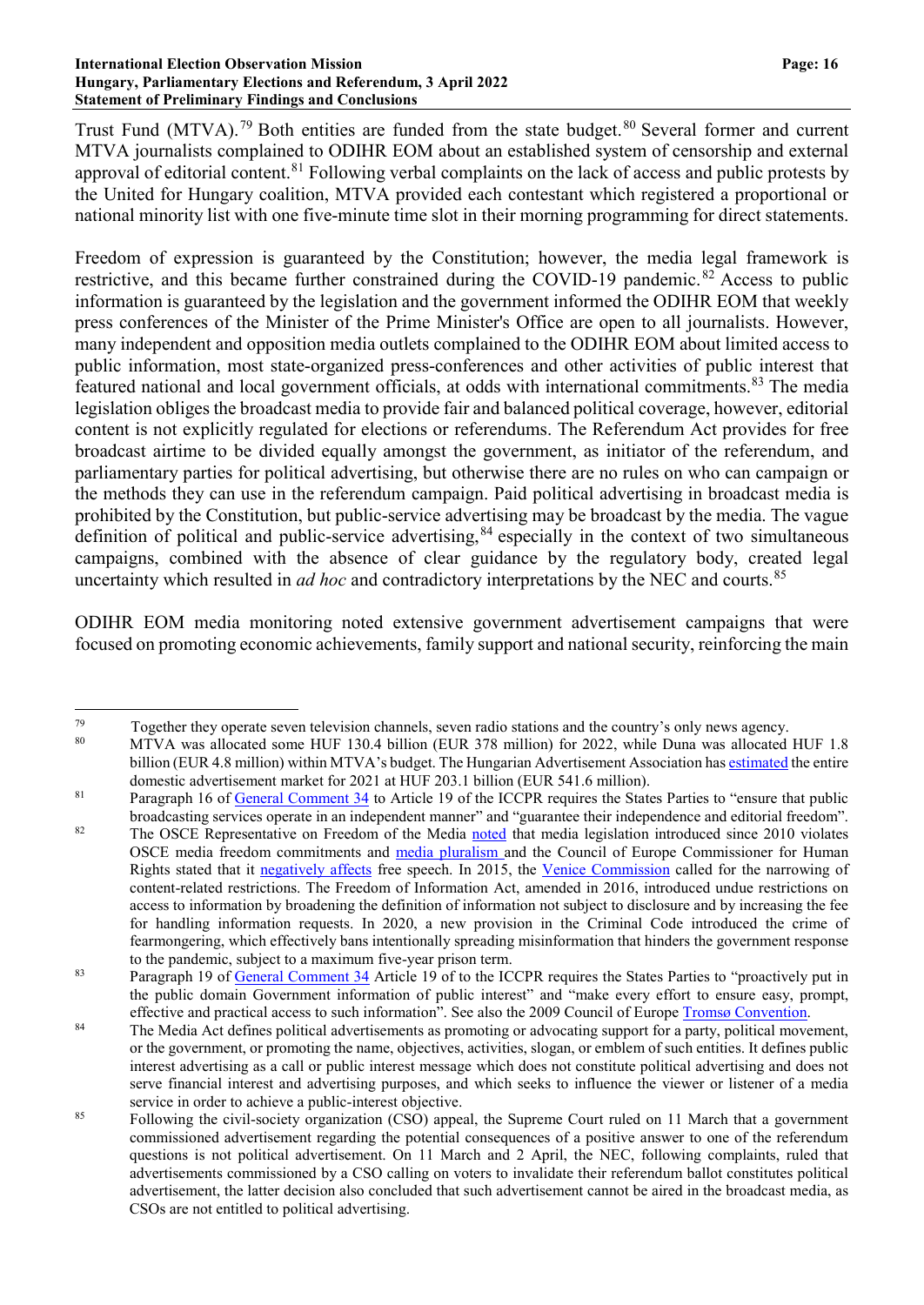#### **International Election Observation Mission Page: 16 Hungary, Parliamentary Elections and Referendum, 3 April 2022 Statement of Preliminary Findings and Conclusions**

Trust Fund (MTVA).<sup>[79](#page-15-0)</sup> Both entities are funded from the state budget.<sup>[80](#page-15-1)</sup> Several former and current MTVA journalists complained to ODIHR EOM about an established system of censorship and external approval of editorial content.<sup>[81](#page-15-2)</sup> Following verbal complaints on the lack of access and public protests by the United for Hungary coalition, MTVA provided each contestant which registered a proportional or national minority list with one five-minute time slot in their morning programming for direct statements.

Freedom of expression is guaranteed by the Constitution; however, the media legal framework is restrictive, and this became further constrained during the COVID-19 pandemic.<sup>[82](#page-15-3)</sup> Access to public information is guaranteed by the legislation and the government informed the ODIHR EOM that weekly press conferences of the Minister of the Prime Minister's Office are open to all journalists. However, many independent and opposition media outlets complained to the ODIHR EOM about limited access to public information, most state-organized press-conferences and other activities of public interest that featured national and local government officials, at odds with international commitments.<sup>[83](#page-15-4)</sup> The media legislation obliges the broadcast media to provide fair and balanced political coverage, however, editorial content is not explicitly regulated for elections or referendums. The Referendum Act provides for free broadcast airtime to be divided equally amongst the government, as initiator of the referendum, and parliamentary parties for political advertising, but otherwise there are no rules on who can campaign or the methods they can use in the referendum campaign. Paid political advertising in broadcast media is prohibited by the Constitution, but public-service advertising may be broadcast by the media. The vague definition of political and public-service advertising,<sup>[84](#page-15-5)</sup> especially in the context of two simultaneous campaigns, combined with the absence of clear guidance by the regulatory body, created legal uncertainty which resulted in *ad hoc* and contradictory interpretations by the NEC and courts.<sup>[85](#page-15-6)</sup>

ODIHR EOM media monitoring noted extensive government advertisement campaigns that were focused on promoting economic achievements, family support and national security, reinforcing the main

<span id="page-15-0"></span><sup>79</sup> Together they operate seven television channels, seven radio stations and the country's only news agency.<br>80 MTVA was ellecated some UUE 120.4 billion (EUP 279 million) for 2022 while Dune was ellecated.

<span id="page-15-1"></span><sup>80</sup> MTVA was allocated some HUF 130.4 billion (EUR 378 million) for 2022, while Duna was allocated HUF 1.8 billion (EUR 4.8 million) within MTVA's budget. The Hungarian Advertisement Association has [estimated](https://mrsz.hu/cmsfiles/aa/df/MRSZ_2021_media_komm_tortak_20220324.pdf) the entire domestic advertisement market for 2021 at HUF 203.1 billion (EUR 541.6 million).

<span id="page-15-2"></span><sup>&</sup>lt;sup>81</sup> Paragraph 16 of General [Comment](https://www2.ohchr.org/english/bodies/hrc/docs/gc34.pdf) 34 to Article 19 of the ICCPR requires the States Parties to "ensure that public broadcasting services operate in an independent manner" and "guarantee their independence and editorial freedom".

<span id="page-15-3"></span><sup>&</sup>lt;sup>82</sup> The OSCE Representative on Freedom of the Media [noted](https://www.osce.org/fom/75999) that media legislation introduced since 2010 violates OSCE media freedom commitments and media [pluralism](https://www.osce.org/fom/90823) and the Council of Europe Commissioner for Human Rights stated that it [negatively](https://rm.coe.int/16806daac3) affects free speech. In 2015, the Venice [Commission](https://www.venice.coe.int/webforms/documents/?pdf=CDL-AD(2015)015-e) called for the narrowing of content-related restrictions. The Freedom of Information Act, amended in 2016, introduced undue restrictions on access to information by broadening the definition of information not subject to disclosure and by increasing the fee for handling information requests. In 2020, a new provision in the Criminal Code introduced the crime of fearmongering, which effectively bans intentionally spreading misinformation that hinders the government response to the pandemic, subject to a maximum five-year prison term.

<span id="page-15-4"></span><sup>&</sup>lt;sup>83</sup> Paragraph 19 of <u>General [Comment](https://www2.ohchr.org/english/bodies/hrc/docs/gc34.pdf) 34</u> Article 19 of to the ICCPR requires the States Parties to "proactively put in the public domain Government information of public interest" and "make every effort to ensure easy, prompt, effective and practical access to such information". See also the 2009 Council of Europe Tromsø [Convention.](https://www.coe.int/en/web/conventions/full-list?module=treaty-detail&treatynum=205)

<span id="page-15-5"></span><sup>&</sup>lt;sup>84</sup> The Media Act defines political advertisements as promoting or advocating support for a party, political movement, or the government, or promoting the name, objectives, activities, slogan, or emblem of such entities. It defines public interest advertising as a call or public interest message which does not constitute political advertising and does not serve financial interest and advertising purposes, and which seeks to influence the viewer or listener of a media service in order to achieve a public-interest objective.

<span id="page-15-6"></span><sup>&</sup>lt;sup>85</sup> Following the civil-society organization (CSO) appeal, the Supreme Court ruled on 11 March that a government commissioned advertisement regarding the potential consequences of a positive answer to one of the referendum questions is not political advertisement. On 11 March and 2 April, the NEC, following complaints, ruled that advertisements commissioned by a CSO calling on voters to invalidate their referendum ballot constitutes political advertisement, the latter decision also concluded that such advertisement cannot be aired in the broadcast media, as CSOs are not entitled to political advertising.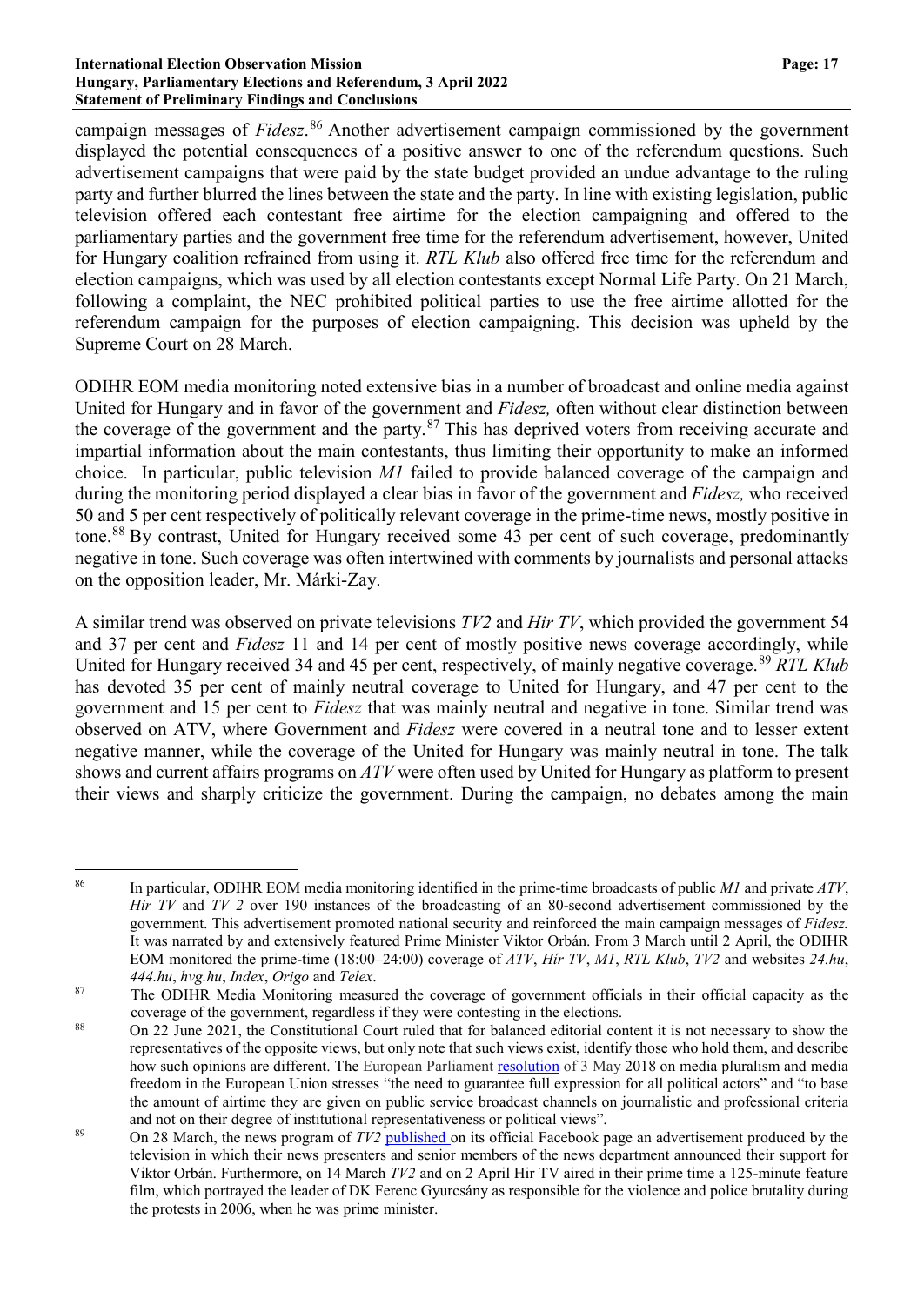#### **International Election Observation Mission Page: 17 Hungary, Parliamentary Elections and Referendum, 3 April 2022 Statement of Preliminary Findings and Conclusions**

campaign messages of *Fidesz*. [86](#page-16-0) Another advertisement campaign commissioned by the government displayed the potential consequences of a positive answer to one of the referendum questions. Such advertisement campaigns that were paid by the state budget provided an undue advantage to the ruling party and further blurred the lines between the state and the party. In line with existing legislation, public television offered each contestant free airtime for the election campaigning and offered to the parliamentary parties and the government free time for the referendum advertisement, however, United for Hungary coalition refrained from using it. *RTL Klub* also offered free time for the referendum and election campaigns, which was used by all election contestants except Normal Life Party. On 21 March, following a complaint, the NEC prohibited political parties to use the free airtime allotted for the referendum campaign for the purposes of election campaigning. This decision was upheld by the Supreme Court on 28 March.

ODIHR EOM media monitoring noted extensive bias in a number of broadcast and online media against United for Hungary and in favor of the government and *Fidesz,* often without clear distinction between the coverage of the government and the party.<sup>[87](#page-16-1)</sup> This has deprived voters from receiving accurate and impartial information about the main contestants, thus limiting their opportunity to make an informed choice. In particular, public television *M1* failed to provide balanced coverage of the campaign and during the monitoring period displayed a clear bias in favor of the government and *Fidesz,* who received 50 and 5 per cent respectively of politically relevant coverage in the prime-time news, mostly positive in tone.[88](#page-16-2) By contrast, United for Hungary received some 43 per cent of such coverage, predominantly negative in tone. Such coverage was often intertwined with comments by journalists and personal attacks on the opposition leader, Mr. Márki-Zay.

A similar trend was observed on private televisions *TV2* and *Hir TV*, which provided the government 54 and 37 per cent and *Fidesz* 11 and 14 per cent of mostly positive news coverage accordingly, while United for Hungary received 34 and 45 per cent, respectively, of mainly negative coverage.[89](#page-16-3) *RTL Klub* has devoted 35 per cent of mainly neutral coverage to United for Hungary, and 47 per cent to the government and 15 per cent to *Fidesz* that was mainly neutral and negative in tone. Similar trend was observed on ATV, where Government and *Fidesz* were covered in a neutral tone and to lesser extent negative manner, while the coverage of the United for Hungary was mainly neutral in tone. The talk shows and current affairs programs on *ATV* were often used by United for Hungary as platform to present their views and sharply criticize the government. During the campaign, no debates among the main

<span id="page-16-0"></span> <sup>86</sup> In particular, ODIHR EOM media monitoring identified in the prime-time broadcasts of public *M1* and private *ATV*, *Hir TV* and *TV 2* over 190 instances of the broadcasting of an 80-second advertisement commissioned by the government. This advertisement promoted national security and reinforced the main campaign messages of *Fidesz.* It was narrated by and extensively featured Prime Minister Viktor Orbán. From 3 March until 2 April, the ODIHR EOM monitored the prime-time (18:00–24:00) coverage of *ATV*, *Hír TV*, *M1*, *RTL Klub*, *TV2* and websites *24.hu*, *444.hu*, *hvg.hu*, *Index*, *Origo* and *Telex*.

<span id="page-16-1"></span><sup>&</sup>lt;sup>87</sup> The ODIHR Media Monitoring measured the coverage of government officials in their official capacity as the

<span id="page-16-2"></span>coverage of the government, regardless if they were contesting in the elections.<br><sup>88</sup> On 22 June 2021, the Constitutional Court ruled that for balanced editorial content it is not necessary to show the representatives of the opposite views, but only note that such views exist, identify those who hold them, and describe how such opinions are different. The European Parliament [resolution](https://eur-lex.europa.eu/legal-content/EN/TXT/?uri=CELEX:52018IP0204) of 3 May 2018 on media pluralism and media freedom in the European Union stresses "the need to guarantee full expression for all political actors" and "to base the amount of airtime they are given on public service broadcast channels on journalistic and professional criteria and not on their degree of institutional representativeness or political views".

<span id="page-16-3"></span><sup>89</sup> On 28 March, the news program of *TV2* [published](https://www.facebook.com/watch/?v=658843448709122) on its official Facebook page an advertisement produced by the television in which their news presenters and senior members of the news department announced their support for Viktor Orbán. Furthermore, on 14 March *TV2* and on 2 April Hir TV aired in their prime time a 125-minute feature film, which portrayed the leader of DK Ferenc Gyurcsány as responsible for the violence and police brutality during the protests in 2006, when he was prime minister.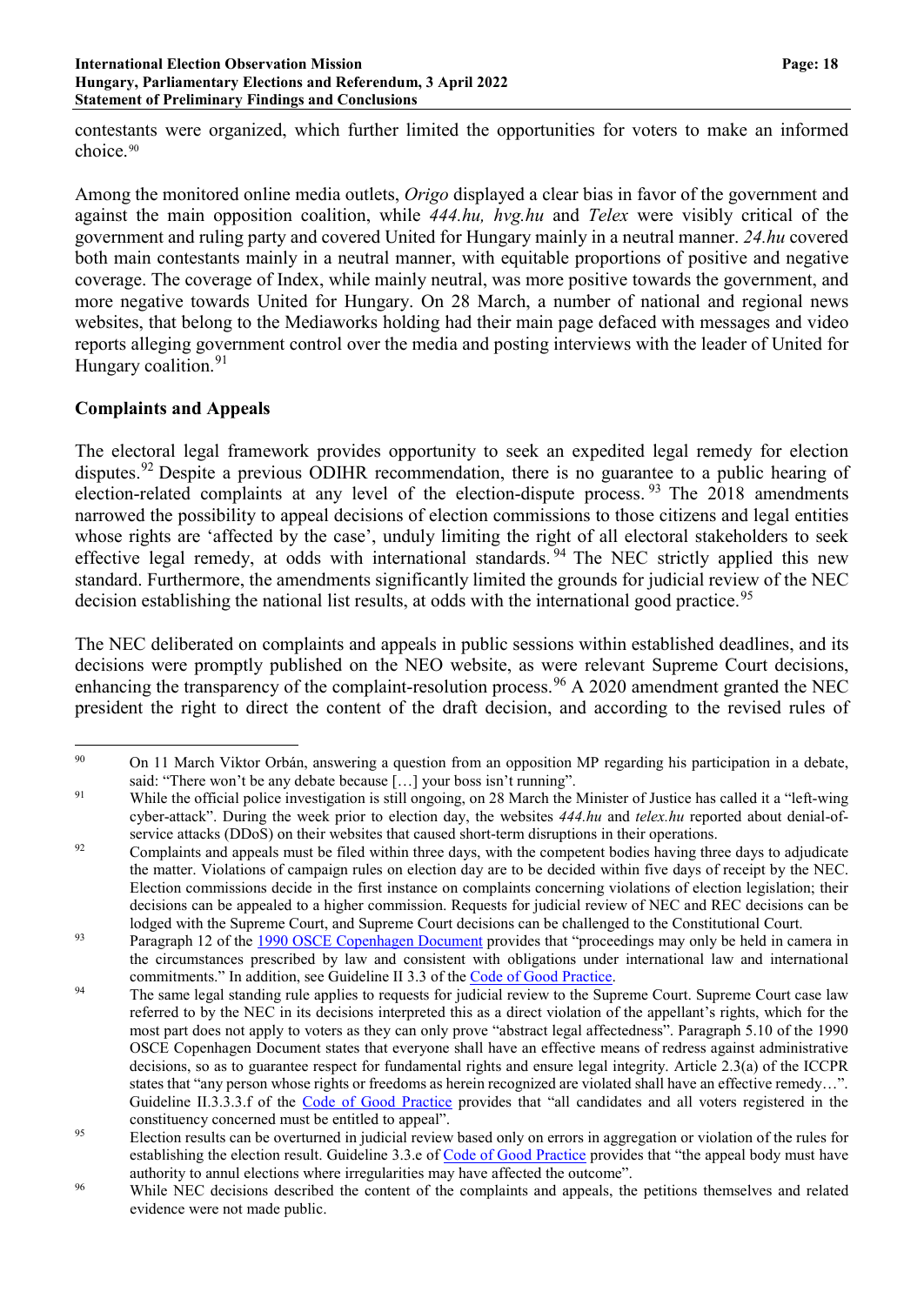contestants were organized, which further limited the opportunities for voters to make an informed choice.<sup>[90](#page-17-0)</sup>

Among the monitored online media outlets, *Origo* displayed a clear bias in favor of the government and against the main opposition coalition, while *444.hu, hvg.hu* and *Telex* were visibly critical of the government and ruling party and covered United for Hungary mainly in a neutral manner. *24.hu* covered both main contestants mainly in a neutral manner, with equitable proportions of positive and negative coverage. The coverage of Index, while mainly neutral, was more positive towards the government, and more negative towards United for Hungary. On 28 March, a number of national and regional news websites, that belong to the Mediaworks holding had their main page defaced with messages and video reports alleging government control over the media and posting interviews with the leader of United for Hungary coalition.<sup>[91](#page-17-1)</sup>

# **Complaints and Appeals**

The electoral legal framework provides opportunity to seek an expedited legal remedy for election disputes.<sup>[92](#page-17-2)</sup> Despite a previous ODIHR recommendation, there is no guarantee to a public hearing of election-related complaints at any level of the election-dispute process. <sup>[93](#page-17-3)</sup> The 2018 amendments narrowed the possibility to appeal decisions of election commissions to those citizens and legal entities whose rights are 'affected by the case', unduly limiting the right of all electoral stakeholders to seek effective legal remedy, at odds with international standards.<sup>[94](#page-17-4)</sup> The NEC strictly applied this new standard. Furthermore, the amendments significantly limited the grounds for judicial review of the NEC decision establishing the national list results, at odds with the international good practice.<sup>[95](#page-17-5)</sup>

The NEC deliberated on complaints and appeals in public sessions within established deadlines, and its decisions were promptly published on the NEO website, as were relevant Supreme Court decisions, enhancing the transparency of the complaint-resolution process.<sup>[96](#page-17-6)</sup> A 2020 amendment granted the NEC president the right to direct the content of the draft decision, and according to the revised rules of

<span id="page-17-0"></span><sup>&</sup>lt;sup>90</sup> On 11 March Viktor Orbán, answering a question from an opposition MP regarding his participation in a debate, said: "There won't be any debate because [...] your boss isn't running".

<span id="page-17-1"></span><sup>&</sup>lt;sup>91</sup> While the official police investigation is still ongoing, on 28 March the Minister of Justice has [called](https://www.facebook.com/VargaJuditMinisterofJustice/posts/pfbid02WEd7MKD7yNtj4oY1xjGJxfMW1BS2bHGobbAPmnYtQDedfQxtCLECJ6XMZMp5B9Jpl) it a "left-wing" cyber-attack". During the week prior to election day, the websites *444.hu* and *telex.hu* reported about denial-ofservice attacks (DDoS) on their websites that caused short-term disruptions in their operations.

<span id="page-17-2"></span><sup>&</sup>lt;sup>92</sup> Complaints and appeals must be filed within three days, with the competent bodies having three days to adjudicate the matter. Violations of campaign rules on election day are to be decided within five days of receipt by the NEC. Election commissions decide in the first instance on complaints concerning violations of election legislation; their decisions can be appealed to a higher commission. Requests for judicial review of NEC and REC decisions can be lodged with the Supreme Court, and Supreme Court decisions can be challenged to the Constitutional Court.

<span id="page-17-3"></span><sup>&</sup>lt;sup>93</sup> Paragraph 12 of the 1990 OSCE [Copenhagen](https://www.osce.org/files/f/documents/9/c/14304.pdf) Document provides that "proceedings may only be held in camera in the circumstances prescribed by law and consistent with obligations under international law and international commitments." In addition, see Guideline II 3.3 of the Code of Good [Practice.](https://www.venice.coe.int/webforms/documents/default.aspx?pdffile=CDL-AD(2002)023rev2-cor-e)

<span id="page-17-4"></span><sup>&</sup>lt;sup>94</sup> The same legal standing rule applies to requests for judicial review to the Supreme Court. Supreme Court case law referred to by the NEC in its decisions interpreted this as a direct violation of the appellant's rights, which for the most part does not apply to voters as they can only prove "abstract legal affectedness". Paragraph 5.10 of the 1990 OSCE Copenhagen Document states that everyone shall have an effective means of redress against administrative decisions, so as to guarantee respect for fundamental rights and ensure legal integrity. Article 2.3(a) of the ICCPR states that "any person whose rights or freedoms as herein recognized are violated shall have an effective remedy...". Guideline II.3.3.3.f of the Code of Good [Practice](https://www.venice.coe.int/webforms/documents/default.aspx?pdffile=CDL-AD(2002)023rev2-cor-e) provides that "all candidates and all voters registered in the constituency concerned must be entitled to appeal".

<span id="page-17-5"></span><sup>&</sup>lt;sup>95</sup> Election results can be overturned in judicial review based only on errors in aggregation or violation of the rules for establishing the election result. Guideline 3.3.e of Code of Good [Practice](https://www.venice.coe.int/webforms/documents/default.aspx?pdffile=CDL-AD(2002)023rev2-cor-e) provides that "the appeal body must have authority to annul elections where irregularities may have affected the outcome".

<span id="page-17-6"></span><sup>&</sup>lt;sup>96</sup> While NEC decisions described the content of the complaints and appeals, the petitions themselves and related evidence were not made public.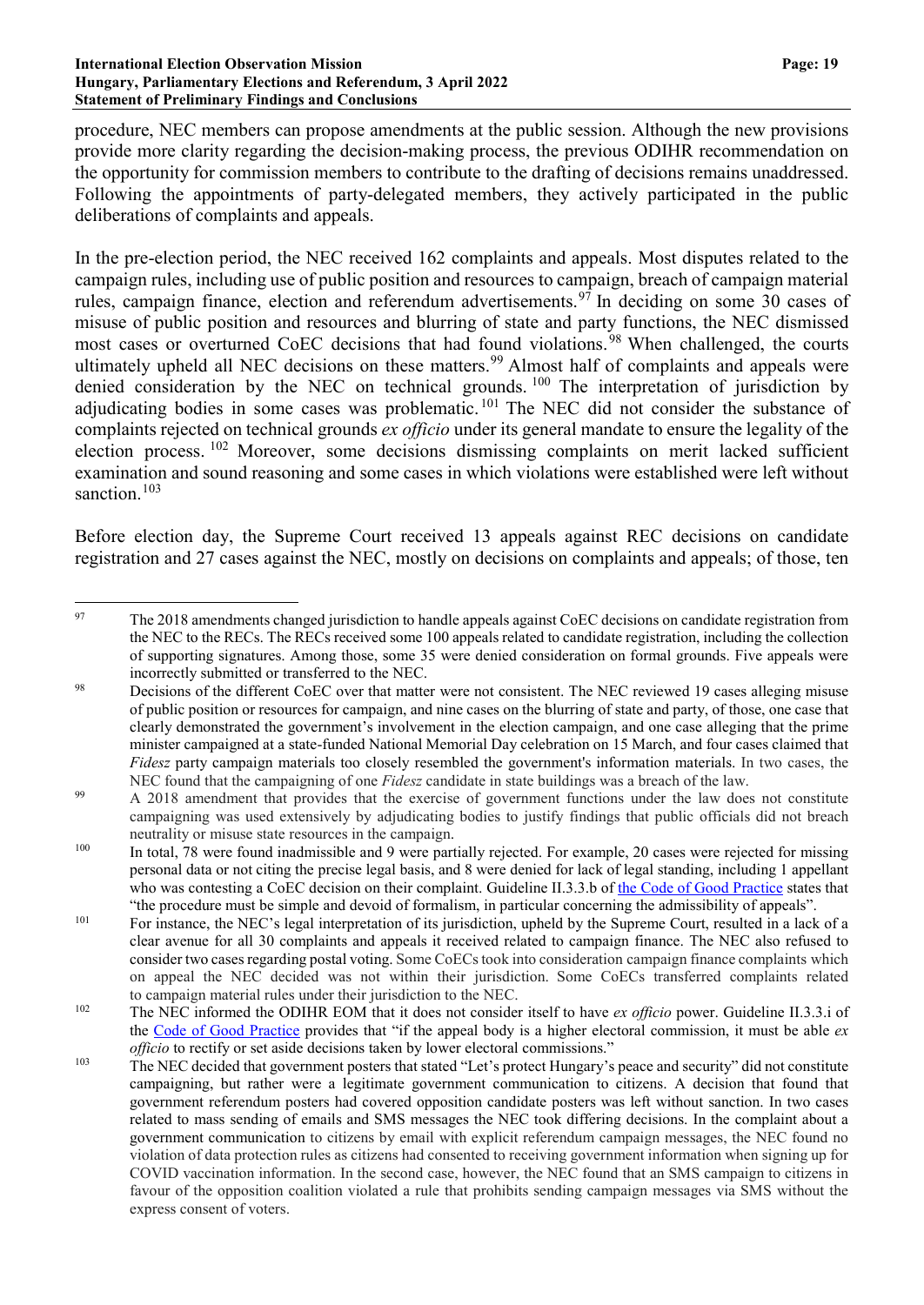#### **International Election Observation Mission Page: 19 Hungary, Parliamentary Elections and Referendum, 3 April 2022 Statement of Preliminary Findings and Conclusions**

procedure, NEC members can propose amendments at the public session. Although the new provisions provide more clarity regarding the decision-making process, the previous ODIHR recommendation on the opportunity for commission members to contribute to the drafting of decisions remains unaddressed. Following the appointments of party-delegated members, they actively participated in the public deliberations of complaints and appeals.

In the pre-election period, the NEC received 162 complaints and appeals. Most disputes related to the campaign rules, including use of public position and resources to campaign, breach of campaign material rules, campaign finance, election and referendum advertisements.[97](#page-18-0) In deciding on some 30 cases of misuse of public position and resources and blurring of state and party functions, the NEC dismissed most cases or overturned CoEC decisions that had found violations.<sup>[98](#page-18-1)</sup> When challenged, the courts ultimately upheld all NEC decisions on these matters.<sup>[99](#page-18-2)</sup> Almost half of complaints and appeals were denied consideration by the NEC on technical grounds. <sup>[100](#page-18-3)</sup> The interpretation of jurisdiction by adjudicating bodies in some cases was problematic.<sup>[101](#page-18-4)</sup> The NEC did not consider the substance of complaints rejected on technical grounds *ex officio* under its general mandate to ensure the legality of the election process. [102](#page-18-5) Moreover, some decisions dismissing complaints on merit lacked sufficient examination and sound reasoning and some cases in which violations were established were left without sanction.<sup>[103](#page-18-6)</sup>

Before election day, the Supreme Court received 13 appeals against REC decisions on candidate registration and 27 cases against the NEC, mostly on decisions on complaints and appeals; of those, ten

<span id="page-18-0"></span><sup>&</sup>lt;sup>97</sup> The 2018 amendments changed jurisdiction to handle appeals against CoEC decisions on candidate registration from the NEC to the RECs. The RECs received some 100 appeals related to candidate registration, including the collection of supporting signatures. Among those, some 35 were denied consideration on formal grounds. Five appeals were incorrectly submitted or transferred to the NEC.

<span id="page-18-1"></span><sup>&</sup>lt;sup>98</sup> Decisions of the different CoEC over that matter were not consistent. The NEC reviewed 19 cases alleging misuse of public position or resources for campaign, and nine cases on the blurring of state and party, of those, one case that clearly demonstrated the government's involvement in the election campaign, and one case alleging that the prime minister campaigned at a state-funded National Memorial Day celebration on 15 March, and four cases claimed that *Fidesz* party campaign materials too closely resembled the government's information materials. In two cases, the NEC found that the campaigning of one *Fidesz* candidate in state buildings was a breach of the law.

<span id="page-18-2"></span><sup>&</sup>lt;sup>99</sup> A 2018 amendment that provides that the exercise of government functions under the law does not constitute campaigning was used extensively by adjudicating bodies to justify findings that public officials did not breach neutrality or misuse state resources in the campaign.

<span id="page-18-3"></span><sup>&</sup>lt;sup>100</sup> In total, 78 were found inadmissible and 9 were partially rejected. For example, 20 cases were rejected for missing personal data or not citing the precise legal basis, and 8 were denied for lack of legal standing, including 1 appellant who was contesting a CoEC decision on their complaint. Guideline II.3.3.b of the Code of Good [Practice](https://www.venice.coe.int/webforms/documents/default.aspx?pdffile=CDL-AD(2002)023rev2-cor-e) states that "the procedure must be simple and devoid of formalism, in particular concerning the admissibility of appeals".

<span id="page-18-4"></span><sup>&</sup>lt;sup>101</sup> For instance, the NEC's legal interpretation of its jurisdiction, upheld by the Supreme Court, resulted in a lack of a clear avenue for all 30 complaints and appeals it received related to campaign finance. The NEC also refused to consider two cases regarding postal voting. Some CoECs took into consideration campaign finance complaints which on appeal the NEC decided was not within their jurisdiction. Some CoECs transferred complaints related to campaign material rules under their jurisdiction to the NEC.

<span id="page-18-5"></span><sup>102</sup> The NEC informed the ODIHR EOM that it does not consider itself to have *ex officio* power. Guideline II.3.3.i of the Code of Good [Practice](https://www.venice.coe.int/webforms/documents/default.aspx?pdffile=CDL-AD(2002)023rev2-cor-e) provides that "if the appeal body is a higher electoral commission, it must be able *ex officio* to rectify or set aside decisions taken by lower electoral commissions."

<span id="page-18-6"></span><sup>&</sup>lt;sup>103</sup> The NEC decided that government posters that stated "Let's protect Hungary's peace and security" did not constitute campaigning, but rather were a legitimate government communication to citizens. A decision that found that government referendum posters had covered opposition candidate posters was left without sanction. In two cases related to mass sending of emails and SMS messages the NEC took differing decisions. In the complaint about a government communication to citizens by email with explicit referendum campaign messages, the NEC found no violation of data protection rules as citizens had consented to receiving government information when signing up for COVID vaccination information. In the second case, however, the NEC found that an SMS campaign to citizens in favour of the opposition coalition violated a rule that prohibits sending campaign messages via SMS without the express consent of voters.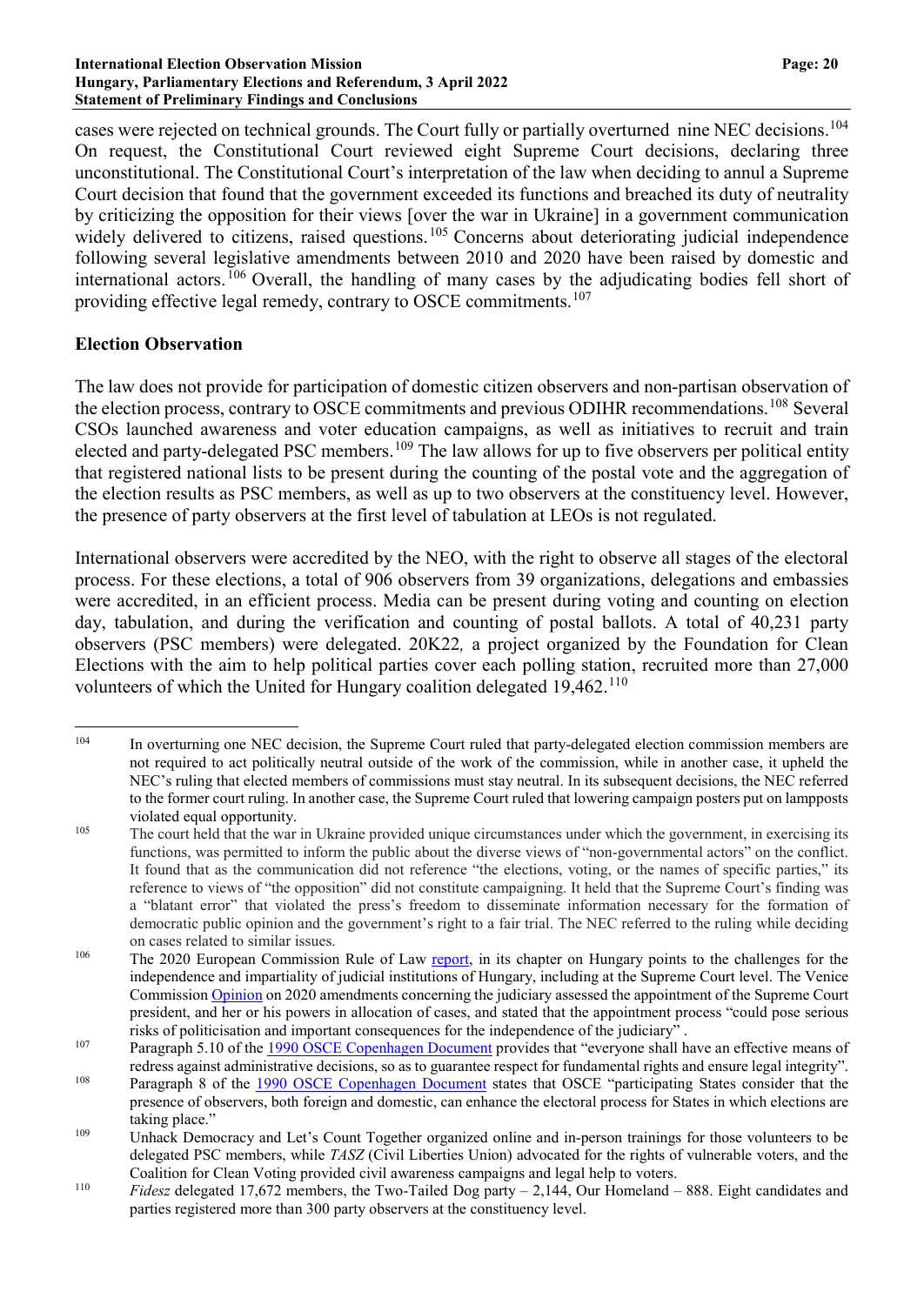cases were rejected on technical grounds. The Court fully or partially overturned nine NEC decisions.[104](#page-19-0) On request, the Constitutional Court reviewed eight Supreme Court decisions, declaring three unconstitutional. The Constitutional Court's interpretation of the law when deciding to annul a Supreme Court decision that found that the government exceeded its functions and breached its duty of neutrality by criticizing the opposition for their views [over the war in Ukraine] in a government communication widely delivered to citizens, raised questions.<sup>[105](#page-19-1)</sup> Concerns about deteriorating judicial independence following several legislative amendments between 2010 and 2020 have been raised by domestic and international actors. [106](#page-19-2) Overall, the handling of many cases by the adjudicating bodies fell short of providing effective legal remedy, contrary to OSCE commitments.[107](#page-19-3)

## **Election Observation**

The law does not provide for participation of domestic citizen observers and non-partisan observation of the election process, contrary to OSCE commitments and previous ODIHR recommendations.<sup>[108](#page-19-4)</sup> Several CSOs launched awareness and voter education campaigns, as well as initiatives to recruit and train elected and party-delegated PSC members.<sup>[109](#page-19-5)</sup> The law allows for up to five observers per political entity that registered national lists to be present during the counting of the postal vote and the aggregation of the election results as PSC members, as well as up to two observers at the constituency level. However, the presence of party observers at the first level of tabulation at LEOs is not regulated.

International observers were accredited by the NEO, with the right to observe all stages of the electoral process. For these elections, a total of 906 observers from 39 organizations, delegations and embassies were accredited, in an efficient process. Media can be present during voting and counting on election day, tabulation, and during the verification and counting of postal ballots. A total of 40,231 party observers (PSC members) were delegated. 20K22*,* a project organized by the Foundation for Clean Elections with the aim to help political parties cover each polling station, recruited more than 27,000 volunteers of which the United for Hungary coalition delegated 19,462.<sup>[110](#page-19-6)</sup>

<span id="page-19-0"></span><sup>&</sup>lt;sup>104</sup> In overturning one NEC decision, the Supreme Court ruled that party-delegated election commission members are not required to act politically neutral outside of the work of the commission, while in another case, it upheld the NEC's ruling that elected members of commissions must stay neutral. In its subsequent decisions, the NEC referred to the former court ruling. In another case, the Supreme Court ruled that lowering campaign posters put on lampposts violated equal opportunity.

<span id="page-19-1"></span><sup>&</sup>lt;sup>105</sup> The court held that the war in Ukraine provided unique circumstances under which the government, in exercising its functions, was permitted to inform the public about the diverse views of "non-governmental actors" on the conflict. It found that as the communication did not reference "the elections, voting, or the names of specific parties," its reference to views of "the opposition" did not constitute campaigning. It held that the Supreme Court's finding was a "blatant error" that violated the press's freedom to disseminate information necessary for the formation of democratic public opinion and the government's right to a fair trial. The NEC referred to the ruling while deciding on cases related to similar issues.

<span id="page-19-2"></span><sup>&</sup>lt;sup>106</sup> The 2020 European Commission Rule of Law [report,](https://ec.europa.eu/info/sites/default/files/hu_rol_country_chapter.pdf) in its chapter on Hungary points to the challenges for the independence and impartiality of judicial institutions of Hungary, including at the Supreme Court level. The Venice Commission [Opinion](https://www.venice.coe.int/webforms/documents/default.aspx?pdffile=CDL-AD(2021)036-e) on 2020 amendments concerning the judiciary assessed the appointment of the Supreme Court president, and her or his powers in allocation of cases, and stated that the appointment process "could pose serious risks of politicisation and important consequences for the independence of the judiciary" .

<span id="page-19-3"></span><sup>&</sup>lt;sup>107</sup> Paragraph 5.10 of the 1990 OSCE [Copenhagen](https://www.osce.org/files/f/documents/9/c/14304.pdf) Document provides that "everyone shall have an effective means of redress against administrative decisions, so as to guarantee respect for fundamental rights and ensure legal integrity".

<span id="page-19-4"></span><sup>&</sup>lt;sup>108</sup> Paragraph 8 of the 1990 OSCE [Copenhagen](https://www.osce.org/files/f/documents/9/c/14304.pdf) Document states that OSCE "participating States consider that the presence of observers, both foreign and domestic, can enhance the electoral process for States in which elections are taking place."

<span id="page-19-5"></span><sup>&</sup>lt;sup>109</sup> Unhack Democracy and Let's Count Together organized online and in-person trainings for those volunteers to be delegated PSC members, while *TASZ* (Civil Liberties Union) advocated for the rights of vulnerable voters, and the Coalition for Clean Voting provided civil awareness campaigns and legal help to voters.

<span id="page-19-6"></span><sup>110</sup> *Fidesz* delegated 17,672 members, the Two-Tailed Dog party – 2,144, Our Homeland – 888. Eight candidates and parties registered more than 300 party observers at the constituency level.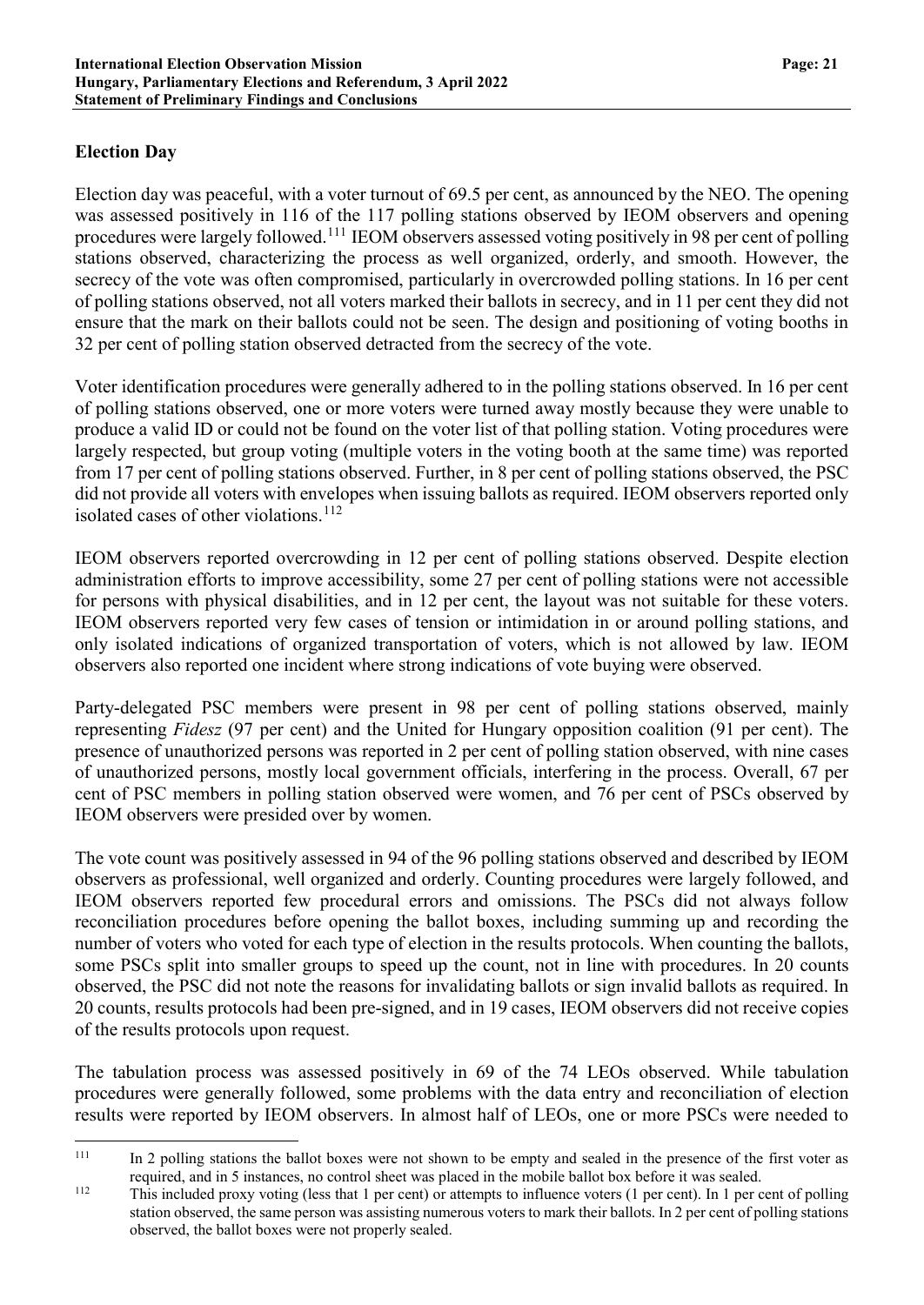## **Election Day**

Election day was peaceful, with a voter turnout of 69.5 per cent, as announced by the NEO. The opening was assessed positively in 116 of the 117 polling stations observed by IEOM observers and opening procedures were largely followed.[111](#page-20-0) IEOM observers assessed voting positively in 98 per cent of polling stations observed, characterizing the process as well organized, orderly, and smooth. However, the secrecy of the vote was often compromised, particularly in overcrowded polling stations. In 16 per cent of polling stations observed, not all voters marked their ballots in secrecy, and in 11 per cent they did not ensure that the mark on their ballots could not be seen. The design and positioning of voting booths in 32 per cent of polling station observed detracted from the secrecy of the vote.

Voter identification procedures were generally adhered to in the polling stations observed. In 16 per cent of polling stations observed, one or more voters were turned away mostly because they were unable to produce a valid ID or could not be found on the voter list of that polling station. Voting procedures were largely respected, but group voting (multiple voters in the voting booth at the same time) was reported from 17 per cent of polling stations observed. Further, in 8 per cent of polling stations observed, the PSC did not provide all voters with envelopes when issuing ballots as required. IEOM observers reported only isolated cases of other violations. [112](#page-20-1)

IEOM observers reported overcrowding in 12 per cent of polling stations observed. Despite election administration efforts to improve accessibility, some 27 per cent of polling stations were not accessible for persons with physical disabilities, and in 12 per cent, the layout was not suitable for these voters. IEOM observers reported very few cases of tension or intimidation in or around polling stations, and only isolated indications of organized transportation of voters, which is not allowed by law. IEOM observers also reported one incident where strong indications of vote buying were observed.

Party-delegated PSC members were present in 98 per cent of polling stations observed, mainly representing *Fidesz* (97 per cent) and the United for Hungary opposition coalition (91 per cent). The presence of unauthorized persons was reported in 2 per cent of polling station observed, with nine cases of unauthorized persons, mostly local government officials, interfering in the process. Overall, 67 per cent of PSC members in polling station observed were women, and 76 per cent of PSCs observed by IEOM observers were presided over by women.

The vote count was positively assessed in 94 of the 96 polling stations observed and described by IEOM observers as professional, well organized and orderly. Counting procedures were largely followed, and IEOM observers reported few procedural errors and omissions. The PSCs did not always follow reconciliation procedures before opening the ballot boxes, including summing up and recording the number of voters who voted for each type of election in the results protocols. When counting the ballots, some PSCs split into smaller groups to speed up the count, not in line with procedures. In 20 counts observed, the PSC did not note the reasons for invalidating ballots or sign invalid ballots as required. In 20 counts, results protocols had been pre-signed, and in 19 cases, IEOM observers did not receive copies of the results protocols upon request.

The tabulation process was assessed positively in 69 of the 74 LEOs observed. While tabulation procedures were generally followed, some problems with the data entry and reconciliation of election results were reported by IEOM observers. In almost half of LEOs, one or more PSCs were needed to

<span id="page-20-0"></span><sup>&</sup>lt;sup>111</sup> In 2 polling stations the ballot boxes were not shown to be empty and sealed in the presence of the first voter as required, and in 5 instances, no control sheet was placed in the mobile ballot box before it was sealed.

<span id="page-20-1"></span><sup>112</sup> This included proxy voting (less that 1 per cent) or attempts to influence voters (1 per cent). In 1 per cent of polling station observed, the same person was assisting numerous voters to mark their ballots. In 2 per cent of polling stations observed, the ballot boxes were not properly sealed.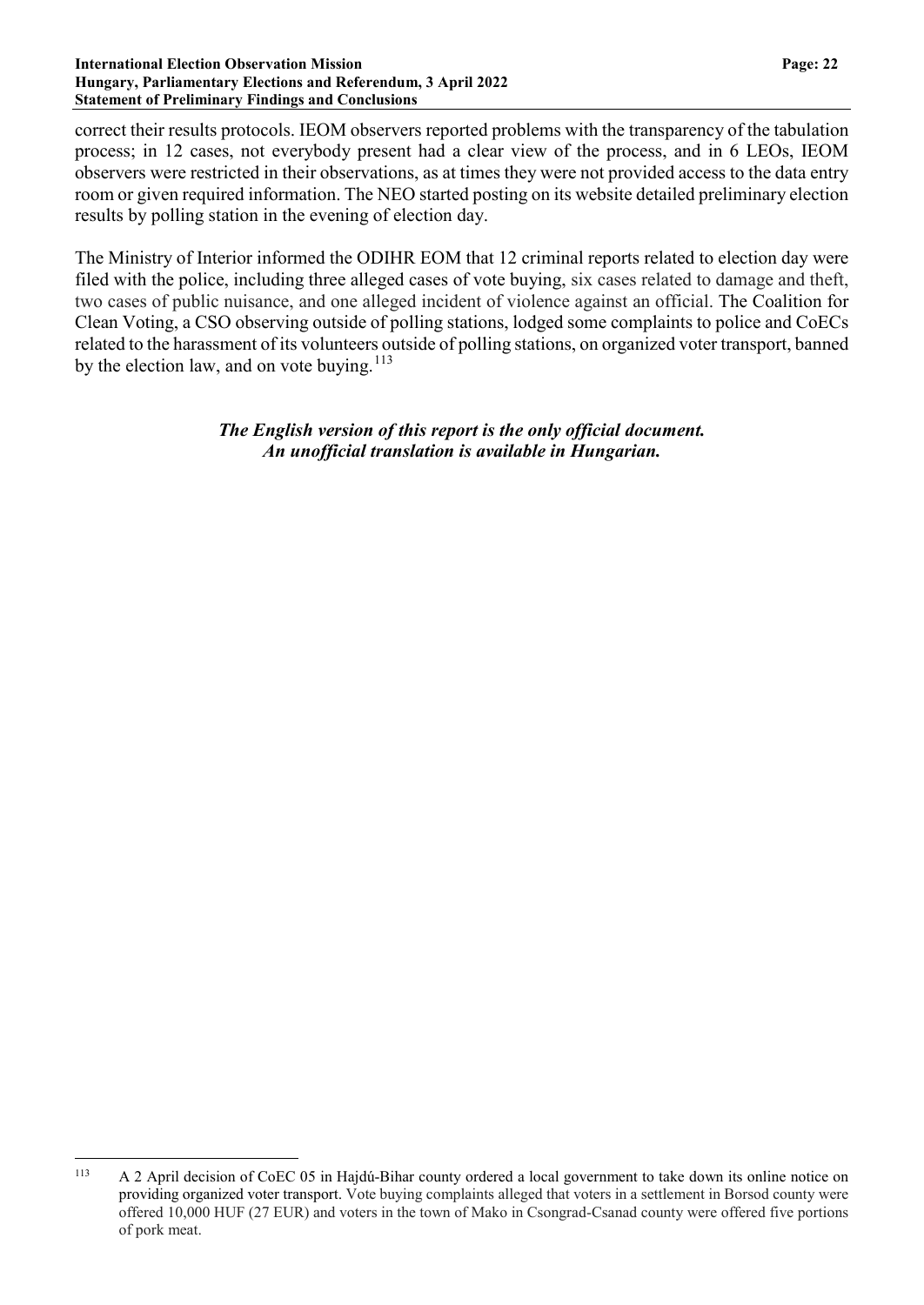#### **International Election Observation Mission Page: 22 Hungary, Parliamentary Elections and Referendum, 3 April 2022 Statement of Preliminary Findings and Conclusions**

correct their results protocols. IEOM observers reported problems with the transparency of the tabulation process; in 12 cases, not everybody present had a clear view of the process, and in 6 LEOs, IEOM observers were restricted in their observations, as at times they were not provided access to the data entry room or given required information. The NEO started posting on its website detailed preliminary election results by polling station in the evening of election day.

The Ministry of Interior informed the ODIHR EOM that 12 criminal reports related to election day were filed with the police, including three alleged cases of vote buying, six cases related to damage and theft, two cases of public nuisance, and one alleged incident of violence against an official. The Coalition for Clean Voting, a CSO observing outside of polling stations, lodged some complaints to police and CoECs related to the harassment of its volunteers outside of polling stations, on organized voter transport, banned by the election law, and on vote buying.<sup>[113](#page-21-0)</sup>

> *The English version of this report is the only official document. An unofficial translation is available in Hungarian.*

<span id="page-21-0"></span> <sup>113</sup> A 2 April decision of CoEC 05 in Hajdú-Bihar county ordered a local government to take down its online notice on providing organized voter transport. Vote buying complaints alleged that voters in a settlement in Borsod county were offered 10,000 HUF (27 EUR) and voters in the town of Mako in Csongrad-Csanad county were offered five portions of pork meat.